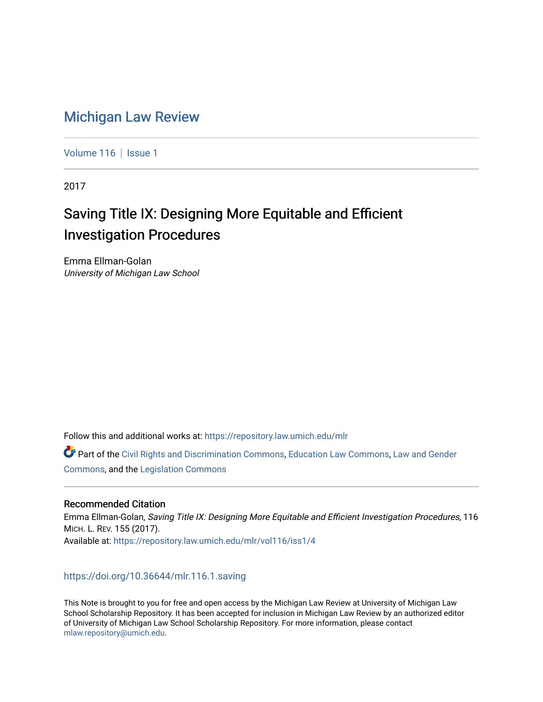## [Michigan Law Review](https://repository.law.umich.edu/mlr)

[Volume 116](https://repository.law.umich.edu/mlr/vol116) | [Issue 1](https://repository.law.umich.edu/mlr/vol116/iss1)

2017

# Saving Title IX: Designing More Equitable and Efficient Investigation Procedures

Emma Ellman-Golan University of Michigan Law School

Follow this and additional works at: [https://repository.law.umich.edu/mlr](https://repository.law.umich.edu/mlr?utm_source=repository.law.umich.edu%2Fmlr%2Fvol116%2Fiss1%2F4&utm_medium=PDF&utm_campaign=PDFCoverPages) 

Part of the [Civil Rights and Discrimination Commons,](http://network.bepress.com/hgg/discipline/585?utm_source=repository.law.umich.edu%2Fmlr%2Fvol116%2Fiss1%2F4&utm_medium=PDF&utm_campaign=PDFCoverPages) [Education Law Commons](http://network.bepress.com/hgg/discipline/596?utm_source=repository.law.umich.edu%2Fmlr%2Fvol116%2Fiss1%2F4&utm_medium=PDF&utm_campaign=PDFCoverPages), [Law and Gender](http://network.bepress.com/hgg/discipline/1298?utm_source=repository.law.umich.edu%2Fmlr%2Fvol116%2Fiss1%2F4&utm_medium=PDF&utm_campaign=PDFCoverPages) [Commons](http://network.bepress.com/hgg/discipline/1298?utm_source=repository.law.umich.edu%2Fmlr%2Fvol116%2Fiss1%2F4&utm_medium=PDF&utm_campaign=PDFCoverPages), and the [Legislation Commons](http://network.bepress.com/hgg/discipline/859?utm_source=repository.law.umich.edu%2Fmlr%2Fvol116%2Fiss1%2F4&utm_medium=PDF&utm_campaign=PDFCoverPages)

#### Recommended Citation

Emma Ellman-Golan, Saving Title IX: Designing More Equitable and Efficient Investigation Procedures, 116 MICH. L. REV. 155 (2017). Available at: [https://repository.law.umich.edu/mlr/vol116/iss1/4](https://repository.law.umich.edu/mlr/vol116/iss1/4?utm_source=repository.law.umich.edu%2Fmlr%2Fvol116%2Fiss1%2F4&utm_medium=PDF&utm_campaign=PDFCoverPages) 

### <https://doi.org/10.36644/mlr.116.1.saving>

This Note is brought to you for free and open access by the Michigan Law Review at University of Michigan Law School Scholarship Repository. It has been accepted for inclusion in Michigan Law Review by an authorized editor of University of Michigan Law School Scholarship Repository. For more information, please contact [mlaw.repository@umich.edu.](mailto:mlaw.repository@umich.edu)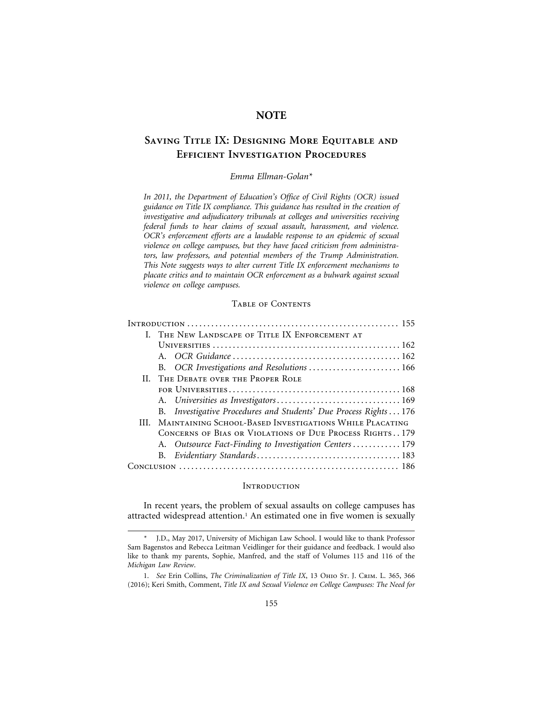### **NOTE**

### **Saving Title IX: Designing More Equitable and Efficient Investigation Procedures**

#### *Emma Ellman-Golan\**

*In 2011, the Department of Education's Office of Civil Rights (OCR) issued guidance on Title IX compliance. This guidance has resulted in the creation of investigative and adjudicatory tribunals at colleges and universities receiving federal funds to hear claims of sexual assault, harassment, and violence. OCR's enforcement efforts are a laudable response to an epidemic of sexual violence on college campuses, but they have faced criticism from administrators, law professors, and potential members of the Trump Administration. This Note suggests ways to alter current Title IX enforcement mechanisms to placate critics and to maintain OCR enforcement as a bulwark against sexual violence on college campuses.*

#### Table of Contents

| I. THE NEW LANDSCAPE OF TITLE IX ENFORCEMENT AT                  |
|------------------------------------------------------------------|
|                                                                  |
|                                                                  |
| B. OCR Investigations and Resolutions  166                       |
| II. THE DEBATE OVER THE PROPER ROLE                              |
|                                                                  |
|                                                                  |
| B. Investigative Procedures and Students' Due Process Rights 176 |
| III. MAINTAINING SCHOOL-BASED INVESTIGATIONS WHILE PLACATING     |
| CONCERNS OF BIAS OR VIOLATIONS OF DUE PROCESS RIGHTS179          |
| A. Outsource Fact-Finding to Investigation Centers 179           |
|                                                                  |
|                                                                  |

#### **INTRODUCTION**

In recent years, the problem of sexual assaults on college campuses has attracted widespread attention.<sup>1</sup> An estimated one in five women is sexually

<sup>\*</sup> J.D., May 2017, University of Michigan Law School. I would like to thank Professor Sam Bagenstos and Rebecca Leitman Veidlinger for their guidance and feedback. I would also like to thank my parents, Sophie, Manfred, and the staff of Volumes 115 and 116 of the *Michigan Law Review*.

<sup>1.</sup> *See* Erin Collins, *The Criminalization of Title IX*, 13 Ohio St. J. Crim. L. 365, 366 (2016); Keri Smith, Comment, *Title IX and Sexual Violence on College Campuses: The Need for*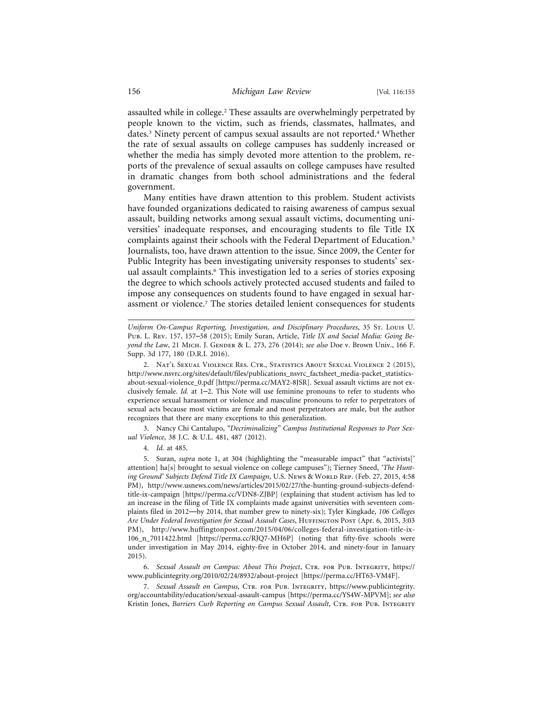assaulted while in college.2 These assaults are overwhelmingly perpetrated by people known to the victim, such as friends, classmates, hallmates, and dates.3 Ninety percent of campus sexual assaults are not reported.4 Whether the rate of sexual assaults on college campuses has suddenly increased or whether the media has simply devoted more attention to the problem, reports of the prevalence of sexual assaults on college campuses have resulted in dramatic changes from both school administrations and the federal government.

Many entities have drawn attention to this problem. Student activists have founded organizations dedicated to raising awareness of campus sexual assault, building networks among sexual assault victims, documenting universities' inadequate responses, and encouraging students to file Title IX complaints against their schools with the Federal Department of Education.5 Journalists, too, have drawn attention to the issue. Since 2009, the Center for Public Integrity has been investigating university responses to students' sexual assault complaints.6 This investigation led to a series of stories exposing the degree to which schools actively protected accused students and failed to impose any consequences on students found to have engaged in sexual harassment or violence.<sup>7</sup> The stories detailed lenient consequences for students

2. Nat'l Sexual Violence Res. Ctr., Statistics About Sexual Violence 2 (2015), http://www.nsvrc.org/sites/default/files/publications\_nsvrc\_factsheet\_media-packet\_statisticsabout-sexual-violence\_0.pdf [https://perma.cc/MAY2-8JSR]. Sexual assault victims are not exclusively female. *Id.* at 1–2. This Note will use feminine pronouns to refer to students who experience sexual harassment or violence and masculine pronouns to refer to perpetrators of sexual acts because most victims are female and most perpetrators are male, but the author recognizes that there are many exceptions to this generalization.

3. Nancy Chi Cantalupo, *"Decriminalizing" Campus Institutional Responses to Peer Sexual Violence*, 38 J.C. & U.L. 481, 487 (2012).

4. *Id.* at 485.

5. Suran, *supra* note 1, at 304 (highlighting the "measurable impact" that "activists[' attention] ha[s] brought to sexual violence on college campuses"); Tierney Sneed, *'The Hunting Ground' Subjects Defend Title IX Campaign*, U.S. News & WORLD Rep. (Feb. 27, 2015, 4:58 PM), http://www.usnews.com/news/articles/2015/02/27/the-hunting-ground-subjects-defendtitle-ix-campaign [https://perma.cc/VDN8-ZJBP] (explaining that student activism has led to an increase in the filing of Title IX complaints made against universities with seventeen complaints filed in 2012—by 2014, that number grew to ninety-six); Tyler Kingkade, *106 Colleges Are Under Federal Investigation for Sexual Assault Cases*, Huffington Post (Apr. 6, 2015, 3:03 PM), http://www.huffingtonpost.com/2015/04/06/colleges-federal-investigation-title-ix-106\_n\_7011422.html [https://perma.cc/RJQ7-MH6P] (noting that fifty-five schools were under investigation in May 2014, eighty-five in October 2014, and ninety-four in January 2015).

6. Sexual Assault on Campus: About This Project, CTR. FOR PUB. INTEGRITY, https:// www.publicintegrity.org/2010/02/24/8932/about-project [https://perma.cc/HT63-VM4F].

7. *Sexual Assault on Campus*, Ctr. for Pub. Integrity, https://www.publicintegrity. org/accountability/education/sexual-assault-campus [https://perma.cc/YS4W-MPVM]; *see also* Kristin Jones, *Barriers Curb Reporting on Campus Sexual Assault*, CTR. FOR PUB. INTEGRITY

*Uniform On-Campus Reporting, Investigation, and Disciplinary Procedures*, 35 St. Louis U. Pub. L. Rev. 157, 157–58 (2015); Emily Suran, Article, *Title IX and Social Media: Going Beyond the Law*, 21 MICH. J. GENDER & L. 273, 276 (2014); see also Doe v. Brown Univ., 166 F. Supp. 3d 177, 180 (D.R.I. 2016).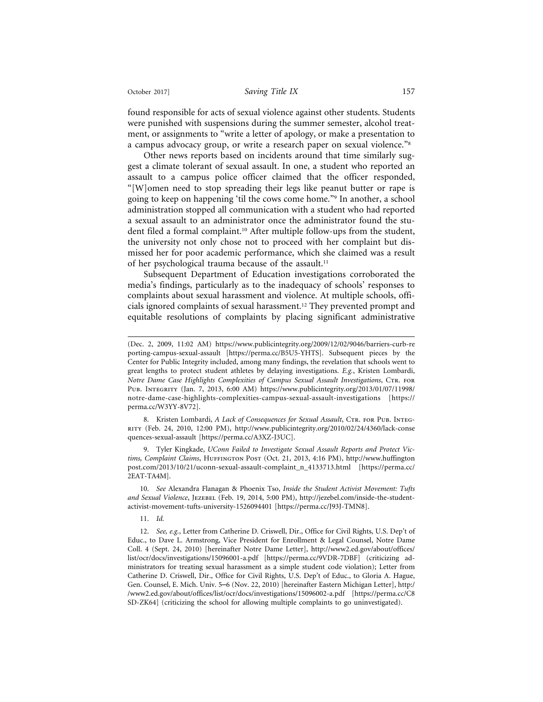#### October 2017] *Saving Title IX* 157

found responsible for acts of sexual violence against other students. Students were punished with suspensions during the summer semester, alcohol treatment, or assignments to "write a letter of apology, or make a presentation to a campus advocacy group, or write a research paper on sexual violence."8

Other news reports based on incidents around that time similarly suggest a climate tolerant of sexual assault. In one, a student who reported an assault to a campus police officer claimed that the officer responded, "[W]omen need to stop spreading their legs like peanut butter or rape is going to keep on happening 'til the cows come home."9 In another, a school administration stopped all communication with a student who had reported a sexual assault to an administrator once the administrator found the student filed a formal complaint.10 After multiple follow-ups from the student, the university not only chose not to proceed with her complaint but dismissed her for poor academic performance, which she claimed was a result of her psychological trauma because of the assault.<sup>11</sup>

Subsequent Department of Education investigations corroborated the media's findings, particularly as to the inadequacy of schools' responses to complaints about sexual harassment and violence. At multiple schools, officials ignored complaints of sexual harassment.12 They prevented prompt and equitable resolutions of complaints by placing significant administrative

8. Kristen Lombardi, *A Lack of Consequences for Sexual Assault*, CTR. FOR PUB. INTEGrity (Feb. 24, 2010, 12:00 PM), http://www.publicintegrity.org/2010/02/24/4360/lack-conse quences-sexual-assault [https://perma.cc/A3XZ-J3UC].

9. Tyler Kingkade, *UConn Failed to Investigate Sexual Assault Reports and Protect Victims, Complaint Claims*, Huffington Post (Oct. 21, 2013, 4:16 PM), http://www.huffington post.com/2013/10/21/uconn-sexual-assault-complaint\_n\_4133713.html [https://perma.cc/ 2EAT-TA4M].

10. *See* Alexandra Flanagan & Phoenix Tso, *Inside the Student Activist Movement: Tufts and Sexual Violence*, Jezebel (Feb. 19, 2014, 5:00 PM), http://jezebel.com/inside-the-studentactivist-movement-tufts-university-1526094401 [https://perma.cc/J93J-TMN8].

#### 11. *Id.*

12. *See, e.g.*, Letter from Catherine D. Criswell, Dir., Office for Civil Rights, U.S. Dep't of Educ., to Dave L. Armstrong, Vice President for Enrollment & Legal Counsel, Notre Dame Coll. 4 (Sept. 24, 2010) [hereinafter Notre Dame Letter], http://www2.ed.gov/about/offices/ list/ocr/docs/investigations/15096001-a.pdf [https://perma.cc/9VDR-7DBF] (criticizing administrators for treating sexual harassment as a simple student code violation); Letter from Catherine D. Criswell, Dir., Office for Civil Rights, U.S. Dep't of Educ., to Gloria A. Hague, Gen. Counsel, E. Mich. Univ. 5–6 (Nov. 22, 2010) [hereinafter Eastern Michigan Letter], http:/ /www2.ed.gov/about/offices/list/ocr/docs/investigations/15096002-a.pdf [https://perma.cc/C8 SD-ZK64] (criticizing the school for allowing multiple complaints to go uninvestigated).

<sup>(</sup>Dec. 2, 2009, 11:02 AM) https://www.publicintegrity.org/2009/12/02/9046/barriers-curb-re porting-campus-sexual-assault [https://perma.cc/B5U5-YHTS]. Subsequent pieces by the Center for Public Integrity included, among many findings, the revelation that schools went to great lengths to protect student athletes by delaying investigations. *E.g.*, Kristen Lombardi, *Notre Dame Case Highlights Complexities of Campus Sexual Assault Investigations*, Ctr. for Pub. Integrity (Jan. 7, 2013, 6:00 AM) https://www.publicintegrity.org/2013/01/07/11998/ notre-dame-case-highlights-complexities-campus-sexual-assault-investigations [https:// perma.cc/W3YY-8V72].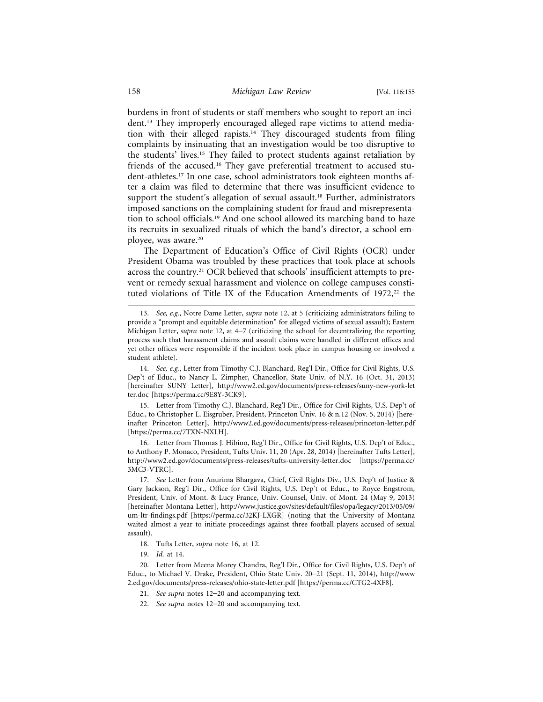burdens in front of students or staff members who sought to report an incident.13 They improperly encouraged alleged rape victims to attend mediation with their alleged rapists.<sup>14</sup> They discouraged students from filing complaints by insinuating that an investigation would be too disruptive to the students' lives.15 They failed to protect students against retaliation by friends of the accused.<sup>16</sup> They gave preferential treatment to accused student-athletes.17 In one case, school administrators took eighteen months after a claim was filed to determine that there was insufficient evidence to support the student's allegation of sexual assault.<sup>18</sup> Further, administrators imposed sanctions on the complaining student for fraud and misrepresentation to school officials.19 And one school allowed its marching band to haze its recruits in sexualized rituals of which the band's director, a school employee, was aware.20

The Department of Education's Office of Civil Rights (OCR) under President Obama was troubled by these practices that took place at schools across the country.<sup>21</sup> OCR believed that schools' insufficient attempts to prevent or remedy sexual harassment and violence on college campuses constituted violations of Title IX of the Education Amendments of  $1972$ ,<sup>22</sup> the

15. Letter from Timothy C.J. Blanchard, Reg'l Dir., Office for Civil Rights, U.S. Dep't of Educ., to Christopher L. Eisgruber, President, Princeton Univ. 16 & n.12 (Nov. 5, 2014) [hereinafter Princeton Letter], http://www2.ed.gov/documents/press-releases/princeton-letter.pdf [https://perma.cc/7TXN-NXLH].

16. Letter from Thomas J. Hibino, Reg'l Dir., Office for Civil Rights, U.S. Dep't of Educ., to Anthony P. Monaco, President, Tufts Univ. 11, 20 (Apr. 28, 2014) [hereinafter Tufts Letter], http://www2.ed.gov/documents/press-releases/tufts-university-letter.doc [https://perma.cc/ 3MC3-VTRC].

17. *See* Letter from Anurima Bhargava, Chief, Civil Rights Div., U.S. Dep't of Justice & Gary Jackson, Reg'l Dir., Office for Civil Rights, U.S. Dep't of Educ., to Royce Engstrom, President, Univ. of Mont. & Lucy France, Univ. Counsel, Univ. of Mont. 24 (May 9, 2013) [hereinafter Montana Letter], http://www.justice.gov/sites/default/files/opa/legacy/2013/05/09/ um-ltr-findings.pdf [https://perma.cc/32KJ-LXGR] (noting that the University of Montana waited almost a year to initiate proceedings against three football players accused of sexual assault).

18. Tufts Letter, *supra* note 16, at 12.

19. *Id.* at 14.

20. Letter from Meena Morey Chandra, Reg'l Dir., Office for Civil Rights, U.S. Dep't of Educ., to Michael V. Drake, President, Ohio State Univ. 20–21 (Sept. 11, 2014), http://www 2.ed.gov/documents/press-releases/ohio-state-letter.pdf [https://perma.cc/CTG2-4XF8].

- 21. *See supra* notes 12–20 and accompanying text.
- 22. *See supra* notes 12–20 and accompanying text.

<sup>13.</sup> *See, e.g.*, Notre Dame Letter, *supra* note 12, at 5 (criticizing administrators failing to provide a "prompt and equitable determination" for alleged victims of sexual assault); Eastern Michigan Letter, *supra* note 12, at 4–7 (criticizing the school for decentralizing the reporting process such that harassment claims and assault claims were handled in different offices and yet other offices were responsible if the incident took place in campus housing or involved a student athlete).

<sup>14.</sup> *See, e.g.*, Letter from Timothy C.J. Blanchard, Reg'l Dir., Office for Civil Rights, U.S. Dep't of Educ., to Nancy L. Zimpher, Chancellor, State Univ. of N.Y. 16 (Oct. 31, 2013) [hereinafter SUNY Letter], http://www2.ed.gov/documents/press-releases/suny-new-york-let ter.doc [https://perma.cc/9E8Y-3CK9].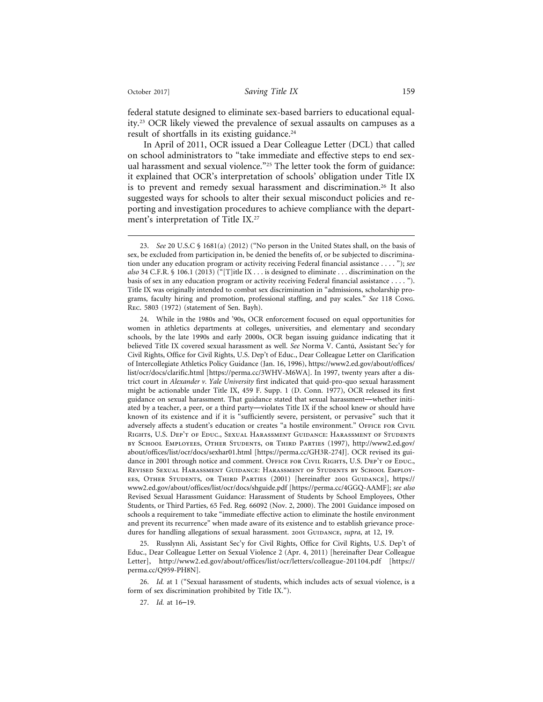federal statute designed to eliminate sex-based barriers to educational equality.23 OCR likely viewed the prevalence of sexual assaults on campuses as a result of shortfalls in its existing guidance.<sup>24</sup>

In April of 2011, OCR issued a Dear Colleague Letter (DCL) that called on school administrators to "take immediate and effective steps to end sexual harassment and sexual violence."<sup>25</sup> The letter took the form of guidance: it explained that OCR's interpretation of schools' obligation under Title IX is to prevent and remedy sexual harassment and discrimination.26 It also suggested ways for schools to alter their sexual misconduct policies and reporting and investigation procedures to achieve compliance with the department's interpretation of Title IX.<sup>27</sup>

24. While in the 1980s and '90s, OCR enforcement focused on equal opportunities for women in athletics departments at colleges, universities, and elementary and secondary schools, by the late 1990s and early 2000s, OCR began issuing guidance indicating that it believed Title IX covered sexual harassment as well. *See* Norma V. Cantú, Assistant Sec'y for Civil Rights, Office for Civil Rights, U.S. Dep't of Educ., Dear Colleague Letter on Clarification of Intercollegiate Athletics Policy Guidance (Jan. 16, 1996), https://www2.ed.gov/about/offices/ list/ocr/docs/clarific.html [https://perma.cc/3WHV-M6WA]. In 1997, twenty years after a district court in *Alexander v. Yale University* first indicated that quid-pro-quo sexual harassment might be actionable under Title IX, 459 F. Supp. 1 (D. Conn. 1977), OCR released its first guidance on sexual harassment. That guidance stated that sexual harassment—whether initiated by a teacher, a peer, or a third party—violates Title IX if the school knew or should have known of its existence and if it is "sufficiently severe, persistent, or pervasive" such that it adversely affects a student's education or creates "a hostile environment." OFFICE FOR CIVIL Rights, U.S. Dep't of Educ., Sexual Harassment Guidance: Harassment of Students by School Employees, Other Students, or Third Parties (1997), http://www2.ed.gov/ about/offices/list/ocr/docs/sexhar01.html [https://perma.cc/GH3R-274J]. OCR revised its guidance in 2001 through notice and comment. OFFICE FOR CIVIL RIGHTS, U.S. DEP'T OF EDUC., Revised Sexual Harassment Guidance: Harassment of Students by School Employees, Other Students, or Third Parties (2001) [hereinafter 2001 Guidance], https:// www2.ed.gov/about/offices/list/ocr/docs/shguide.pdf [https://perma.cc/4GGQ-AAMF]; *see also* Revised Sexual Harassment Guidance: Harassment of Students by School Employees, Other Students, or Third Parties, 65 Fed. Reg. 66092 (Nov. 2, 2000). The 2001 Guidance imposed on schools a requirement to take "immediate effective action to eliminate the hostile environment and prevent its recurrence" when made aware of its existence and to establish grievance procedures for handling allegations of sexual harassment. 2001 GUIDANCE, *supra*, at 12, 19.

25. Russlynn Ali, Assistant Sec'y for Civil Rights, Office for Civil Rights, U.S. Dep't of Educ., Dear Colleague Letter on Sexual Violence 2 (Apr. 4, 2011) [hereinafter Dear Colleague Letter], http://www2.ed.gov/about/offices/list/ocr/letters/colleague-201104.pdf [https:// perma.cc/Q959-PH8N].

26. *Id.* at 1 ("Sexual harassment of students, which includes acts of sexual violence, is a form of sex discrimination prohibited by Title IX.").

27. *Id.* at 16–19.

<sup>23.</sup> *See* 20 U.S.C § 1681(a) (2012) ("No person in the United States shall, on the basis of sex, be excluded from participation in, be denied the benefits of, or be subjected to discrimination under any education program or activity receiving Federal financial assistance . . . . "); *see also* 34 C.F.R. § 106.1 (2013) ("[T]itle IX . . . is designed to eliminate . . . discrimination on the basis of sex in any education program or activity receiving Federal financial assistance . . . . "). Title IX was originally intended to combat sex discrimination in "admissions, scholarship programs, faculty hiring and promotion, professional staffing, and pay scales." *See* 118 Cong. Rec. 5803 (1972) (statement of Sen. Bayh).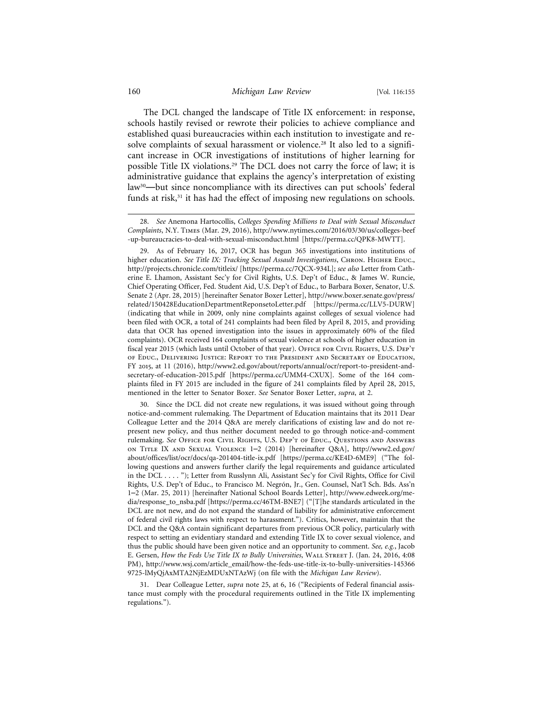The DCL changed the landscape of Title IX enforcement: in response, schools hastily revised or rewrote their policies to achieve compliance and established quasi bureaucracies within each institution to investigate and resolve complaints of sexual harassment or violence.28 It also led to a significant increase in OCR investigations of institutions of higher learning for possible Title IX violations.29 The DCL does not carry the force of law; it is administrative guidance that explains the agency's interpretation of existing law30—but since noncompliance with its directives can put schools' federal funds at risk,<sup>31</sup> it has had the effect of imposing new regulations on schools.

30. Since the DCL did not create new regulations, it was issued without going through notice-and-comment rulemaking. The Department of Education maintains that its 2011 Dear Colleague Letter and the 2014 Q&A are merely clarifications of existing law and do not represent new policy, and thus neither document needed to go through notice-and-comment rulemaking. *See* Office for Civil Rights, U.S. Dep't of Educ., Questions and Answers on Title IX and Sexual Violence 1–2 (2014) [hereinafter Q&A], http://www2.ed.gov/ about/offices/list/ocr/docs/qa-201404-title-ix.pdf [https://perma.cc/KE4D-6ME9] ("The following questions and answers further clarify the legal requirements and guidance articulated in the DCL . . . . "); Letter from Russlynn Ali, Assistant Sec'y for Civil Rights, Office for Civil Rights, U.S. Dep't of Educ., to Francisco M. Negrón, Jr., Gen. Counsel, Nat'l Sch. Bds. Ass'n 1–2 (Mar. 25, 2011) [hereinafter National School Boards Letter], http://www.edweek.org/media/response\_to\_nsba.pdf [https://perma.cc/46TM-BNE7] ("[T]he standards articulated in the DCL are not new, and do not expand the standard of liability for administrative enforcement of federal civil rights laws with respect to harassment."). Critics, however, maintain that the DCL and the Q&A contain significant departures from previous OCR policy, particularly with respect to setting an evidentiary standard and extending Title IX to cover sexual violence, and thus the public should have been given notice and an opportunity to comment. *See, e.g.*, Jacob E. Gersen, *How the Feds Use Title IX to Bully Universities*, Wall Street J. (Jan. 24, 2016, 4:08 PM), http://www.wsj.com/article\_email/how-the-feds-use-title-ix-to-bully-universities-145366 9725-lMyQjAxMTA2NjEzMDUxNTAzWj (on file with the *Michigan Law Review*).

31. Dear Colleague Letter, *supra* note 25, at 6, 16 ("Recipients of Federal financial assistance must comply with the procedural requirements outlined in the Title IX implementing regulations.").

<sup>28.</sup> *See* Anemona Hartocollis, *Colleges Spending Millions to Deal with Sexual Misconduct Complaints*, N.Y. Times (Mar. 29, 2016), http://www.nytimes.com/2016/03/30/us/colleges-beef -up-bureaucracies-to-deal-with-sexual-misconduct.html [https://perma.cc/QPK8-MWTT].

<sup>29.</sup> As of February 16, 2017, OCR has begun 365 investigations into institutions of higher education. See Title IX: Tracking Sexual Assault Investigations, CHRON. HIGHER EDUC., http://projects.chronicle.com/titleix/ [https://perma.cc/7QCX-934L]; *see also* Letter from Catherine E. Lhamon, Assistant Sec'y for Civil Rights, U.S. Dep't of Educ., & James W. Runcie, Chief Operating Officer, Fed. Student Aid, U.S. Dep't of Educ., to Barbara Boxer, Senator, U.S. Senate 2 (Apr. 28, 2015) [hereinafter Senator Boxer Letter], http://www.boxer.senate.gov/press/ related/150428EducationDepartmentReponsetoLetter.pdf [https://perma.cc/LLV5-DURW] (indicating that while in 2009, only nine complaints against colleges of sexual violence had been filed with OCR, a total of 241 complaints had been filed by April 8, 2015, and providing data that OCR has opened investigation into the issues in approximately 60% of the filed complaints). OCR received 164 complaints of sexual violence at schools of higher education in fiscal year 2015 (which lasts until October of that year). OFFICE FOR CIVIL RIGHTS, U.S. DEP'T of Educ., Delivering Justice: Report to the President and Secretary of Education, FY 2015, at 11 (2016), http://www2.ed.gov/about/reports/annual/ocr/report-to-president-andsecretary-of-education-2015.pdf [https://perma.cc/UMM4-CXUX]. Some of the 164 complaints filed in FY 2015 are included in the figure of 241 complaints filed by April 28, 2015, mentioned in the letter to Senator Boxer. *See* Senator Boxer Letter, *supra*, at 2.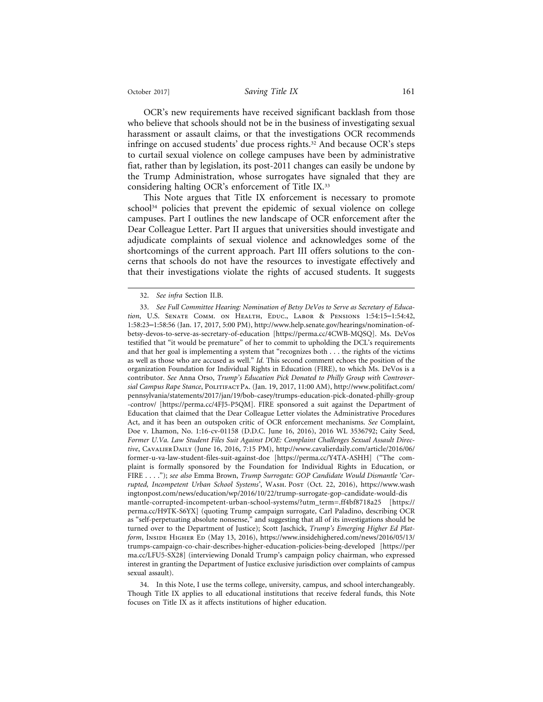OCR's new requirements have received significant backlash from those who believe that schools should not be in the business of investigating sexual harassment or assault claims, or that the investigations OCR recommends infringe on accused students' due process rights.<sup>32</sup> And because OCR's steps to curtail sexual violence on college campuses have been by administrative fiat, rather than by legislation, its post-2011 changes can easily be undone by the Trump Administration, whose surrogates have signaled that they are considering halting OCR's enforcement of Title IX.33

This Note argues that Title IX enforcement is necessary to promote school<sup>34</sup> policies that prevent the epidemic of sexual violence on college campuses. Part I outlines the new landscape of OCR enforcement after the Dear Colleague Letter. Part II argues that universities should investigate and adjudicate complaints of sexual violence and acknowledges some of the shortcomings of the current approach. Part III offers solutions to the concerns that schools do not have the resources to investigate effectively and that their investigations violate the rights of accused students. It suggests

<sup>32.</sup> *See infra* Section II.B.

<sup>33.</sup> *See Full Committee Hearing: Nomination of Betsy DeVos to Serve as Secretary of Education*, U.S. Senate Comm. on Health, Educ., Labor & Pensions 1:54:15–1:54:42, 1:58:23–1:58:56 (Jan. 17, 2017, 5:00 PM), http://www.help.senate.gov/hearings/nomination-ofbetsy-devos-to-serve-as-secretary-of-education [https://perma.cc/4CWB-MQSQ]. Ms. DeVos testified that "it would be premature" of her to commit to upholding the DCL's requirements and that her goal is implementing a system that "recognizes both . . . the rights of the victims as well as those who are accused as well." *Id.* This second comment echoes the position of the organization Foundation for Individual Rights in Education (FIRE), to which Ms. DeVos is a contributor. *See* Anna Orso, *Trump's Education Pick Donated to Philly Group with Controversial Campus Rape Stance*, Politifact Pa. (Jan. 19, 2017, 11:00 AM), http://www.politifact.com/ pennsylvania/statements/2017/jan/19/bob-casey/trumps-education-pick-donated-philly-group -controv/ [https://perma.cc/4FJ5-P5QM]. FIRE sponsored a suit against the Department of Education that claimed that the Dear Colleague Letter violates the Administrative Procedures Act, and it has been an outspoken critic of OCR enforcement mechanisms. *See* Complaint, Doe v. Lhamon, No. 1:16-cv-01158 (D.D.C. June 16, 2016), 2016 WL 3536792; Caity Seed, *Former U.Va. Law Student Files Suit Against DOE: Complaint Challenges Sexual Assault Directive*, Cavalier Daily (June 16, 2016, 7:15 PM), http://www.cavalierdaily.com/article/2016/06/ former-u-va-law-student-files-suit-against-doe [https://perma.cc/Y4TA-ASHH] ("The complaint is formally sponsored by the Foundation for Individual Rights in Education, or FIRE . . . ."); *see also* Emma Brown, *Trump Surrogate: GOP Candidate Would Dismantle 'Corrupted, Incompetent Urban School Systems'*, Wash. Post (Oct. 22, 2016), https://www.wash ingtonpost.com/news/education/wp/2016/10/22/trump-surrogate-gop-candidate-would-dis mantle-corrupted-incompetent-urban-school-systems/?utm\_term=.ff4bf8718a25 [https:// perma.cc/H9TK-S6YX] (quoting Trump campaign surrogate, Carl Paladino, describing OCR as "self-perpetuating absolute nonsense," and suggesting that all of its investigations should be turned over to the Department of Justice); Scott Jaschick, *Trump's Emerging Higher Ed Platform*, Inside Higher Ed (May 13, 2016), https://www.insidehighered.com/news/2016/05/13/ trumps-campaign-co-chair-describes-higher-education-policies-being-developed [https://per ma.cc/LFU5-SX28] (interviewing Donald Trump's campaign policy chairman, who expressed interest in granting the Department of Justice exclusive jurisdiction over complaints of campus sexual assault).

<sup>34.</sup> In this Note, I use the terms college, university, campus, and school interchangeably. Though Title IX applies to all educational institutions that receive federal funds, this Note focuses on Title IX as it affects institutions of higher education.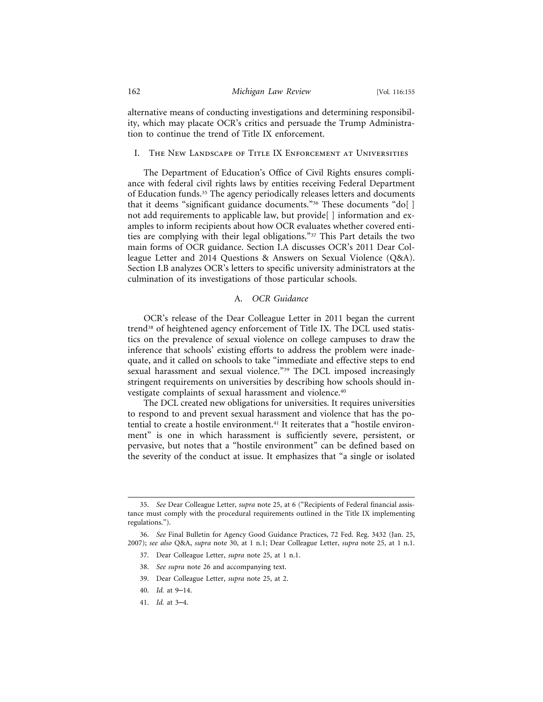alternative means of conducting investigations and determining responsibility, which may placate OCR's critics and persuade the Trump Administration to continue the trend of Title IX enforcement.

#### I. The New Landscape of Title IX Enforcement at Universities

The Department of Education's Office of Civil Rights ensures compliance with federal civil rights laws by entities receiving Federal Department of Education funds.35 The agency periodically releases letters and documents that it deems "significant guidance documents."<sup>36</sup> These documents "do[] not add requirements to applicable law, but provide [ ] information and examples to inform recipients about how OCR evaluates whether covered entities are complying with their legal obligations."37 This Part details the two main forms of OCR guidance. Section I.A discusses OCR's 2011 Dear Colleague Letter and 2014 Questions & Answers on Sexual Violence (Q&A). Section I.B analyzes OCR's letters to specific university administrators at the culmination of its investigations of those particular schools.

#### A. *OCR Guidance*

OCR's release of the Dear Colleague Letter in 2011 began the current trend<sup>38</sup> of heightened agency enforcement of Title IX. The DCL used statistics on the prevalence of sexual violence on college campuses to draw the inference that schools' existing efforts to address the problem were inadequate, and it called on schools to take "immediate and effective steps to end sexual harassment and sexual violence."<sup>39</sup> The DCL imposed increasingly stringent requirements on universities by describing how schools should investigate complaints of sexual harassment and violence.40

The DCL created new obligations for universities. It requires universities to respond to and prevent sexual harassment and violence that has the potential to create a hostile environment.<sup>41</sup> It reiterates that a "hostile environment" is one in which harassment is sufficiently severe, persistent, or pervasive, but notes that a "hostile environment" can be defined based on the severity of the conduct at issue. It emphasizes that "a single or isolated

- 38. *See supra* note 26 and accompanying text.
- 39. Dear Colleague Letter, *supra* note 25, at 2.
- 40. *Id.* at 9–14.
- 41. *Id.* at 3–4.

<sup>35.</sup> *See* Dear Colleague Letter, *supra* note 25, at 6 ("Recipients of Federal financial assistance must comply with the procedural requirements outlined in the Title IX implementing regulations.").

<sup>36.</sup> *See* Final Bulletin for Agency Good Guidance Practices, 72 Fed. Reg. 3432 (Jan. 25, 2007); *see also* Q&A, *supra* note 30, at 1 n.1; Dear Colleague Letter, *supra* note 25, at 1 n.1.

<sup>37.</sup> Dear Colleague Letter, *supra* note 25, at 1 n.1.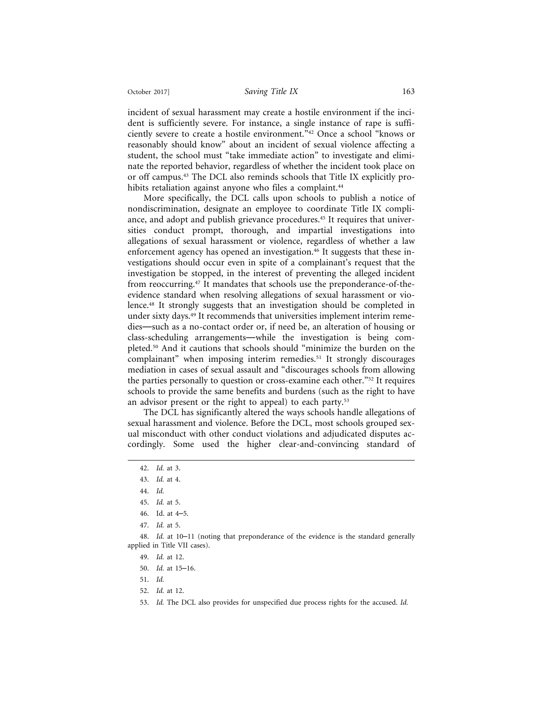incident of sexual harassment may create a hostile environment if the incident is sufficiently severe. For instance, a single instance of rape is sufficiently severe to create a hostile environment."42 Once a school "knows or reasonably should know" about an incident of sexual violence affecting a student, the school must "take immediate action" to investigate and eliminate the reported behavior, regardless of whether the incident took place on or off campus.43 The DCL also reminds schools that Title IX explicitly prohibits retaliation against anyone who files a complaint.<sup>44</sup>

More specifically, the DCL calls upon schools to publish a notice of nondiscrimination, designate an employee to coordinate Title IX compliance, and adopt and publish grievance procedures.<sup>45</sup> It requires that universities conduct prompt, thorough, and impartial investigations into allegations of sexual harassment or violence, regardless of whether a law enforcement agency has opened an investigation.<sup>46</sup> It suggests that these investigations should occur even in spite of a complainant's request that the investigation be stopped, in the interest of preventing the alleged incident from reoccurring.47 It mandates that schools use the preponderance-of-theevidence standard when resolving allegations of sexual harassment or violence.48 It strongly suggests that an investigation should be completed in under sixty days.49 It recommends that universities implement interim remedies—such as a no-contact order or, if need be, an alteration of housing or class-scheduling arrangements—while the investigation is being completed.50 And it cautions that schools should "minimize the burden on the complainant" when imposing interim remedies.51 It strongly discourages mediation in cases of sexual assault and "discourages schools from allowing the parties personally to question or cross-examine each other."52 It requires schools to provide the same benefits and burdens (such as the right to have an advisor present or the right to appeal) to each party.<sup>53</sup>

The DCL has significantly altered the ways schools handle allegations of sexual harassment and violence. Before the DCL, most schools grouped sexual misconduct with other conduct violations and adjudicated disputes accordingly. Some used the higher clear-and-convincing standard of

47. *Id.* at 5.

48. *Id.* at 10–11 (noting that preponderance of the evidence is the standard generally applied in Title VII cases).

- 49. *Id.* at 12.
- 50. *Id.* at 15–16.
- 51. *Id.*
- 52. *Id.* at 12.

53. *Id.* The DCL also provides for unspecified due process rights for the accused. *Id.*

<sup>42.</sup> *Id.* at 3.

<sup>43.</sup> *Id.* at 4.

<sup>44.</sup> *Id.*

<sup>45.</sup> *Id.* at 5.

<sup>46.</sup> Id. at 4–5.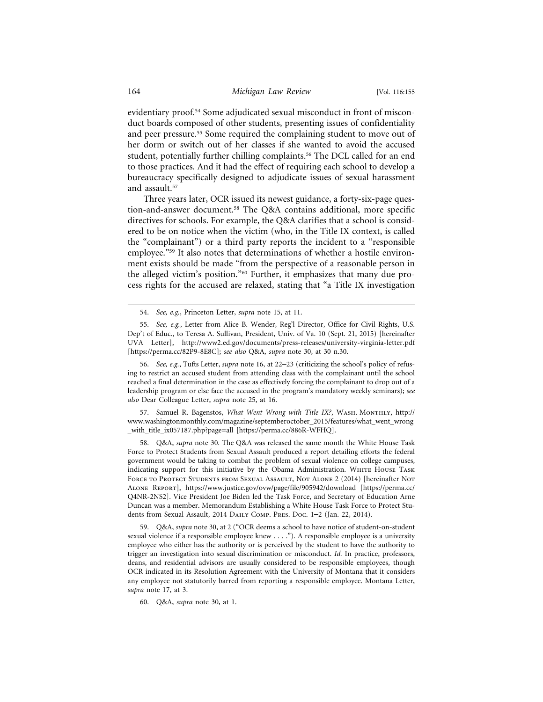evidentiary proof.54 Some adjudicated sexual misconduct in front of misconduct boards composed of other students, presenting issues of confidentiality and peer pressure.55 Some required the complaining student to move out of her dorm or switch out of her classes if she wanted to avoid the accused student, potentially further chilling complaints.<sup>56</sup> The DCL called for an end to those practices. And it had the effect of requiring each school to develop a bureaucracy specifically designed to adjudicate issues of sexual harassment and assault.<sup>57</sup>

Three years later, OCR issued its newest guidance, a forty-six-page question-and-answer document.58 The Q&A contains additional, more specific directives for schools. For example, the Q&A clarifies that a school is considered to be on notice when the victim (who, in the Title IX context, is called the "complainant") or a third party reports the incident to a "responsible employee."59 It also notes that determinations of whether a hostile environment exists should be made "from the perspective of a reasonable person in the alleged victim's position."60 Further, it emphasizes that many due process rights for the accused are relaxed, stating that "a Title IX investigation

56. *See, e.g.*, Tufts Letter, *supra* note 16, at 22–23 (criticizing the school's policy of refusing to restrict an accused student from attending class with the complainant until the school reached a final determination in the case as effectively forcing the complainant to drop out of a leadership program or else face the accused in the program's mandatory weekly seminars); *see also* Dear Colleague Letter, *supra* note 25, at 16.

57. Samuel R. Bagenstos, *What Went Wrong with Title IX?*, WASH. MONTHLY, http:// www.washingtonmonthly.com/magazine/septemberoctober\_2015/features/what\_went\_wrong \_with\_title\_ix057187.php?page=all [https://perma.cc/886R-WFHQ].

58. Q&A, *supra* note 30. The Q&A was released the same month the White House Task Force to Protect Students from Sexual Assault produced a report detailing efforts the federal government would be taking to combat the problem of sexual violence on college campuses, indicating support for this initiative by the Obama Administration. White House Task FORCE TO PROTECT STUDENTS FROM SEXUAL ASSAULT, NOT ALONE 2 (2014) [hereinafter NOT Alone Report], https://www.justice.gov/ovw/page/file/905942/download [https://perma.cc/ Q4NR-2NS2]. Vice President Joe Biden led the Task Force, and Secretary of Education Arne Duncan was a member. Memorandum Establishing a White House Task Force to Protect Students from Sexual Assault, 2014 Daily Comp. Pres. Doc. 1–2 (Jan. 22, 2014).

59. Q&A, *supra* note 30, at 2 ("OCR deems a school to have notice of student-on-student sexual violence if a responsible employee knew . . . ."). A responsible employee is a university employee who either has the authority or is perceived by the student to have the authority to trigger an investigation into sexual discrimination or misconduct. *Id.* In practice, professors, deans, and residential advisors are usually considered to be responsible employees, though OCR indicated in its Resolution Agreement with the University of Montana that it considers any employee not statutorily barred from reporting a responsible employee. Montana Letter, *supra* note 17, at 3.

60. Q&A, *supra* note 30, at 1.

<sup>54.</sup> *See, e.g.*, Princeton Letter, *supra* note 15, at 11.

<sup>55.</sup> *See, e.g.*, Letter from Alice B. Wender, Reg'l Director, Office for Civil Rights, U.S. Dep't of Educ., to Teresa A. Sullivan, President, Univ. of Va. 10 (Sept. 21, 2015) [hereinafter UVA Letter], http://www2.ed.gov/documents/press-releases/university-virginia-letter.pdf [https://perma.cc/82P9-8E8C]; *see also* Q&A, *supra* note 30, at 30 n.30.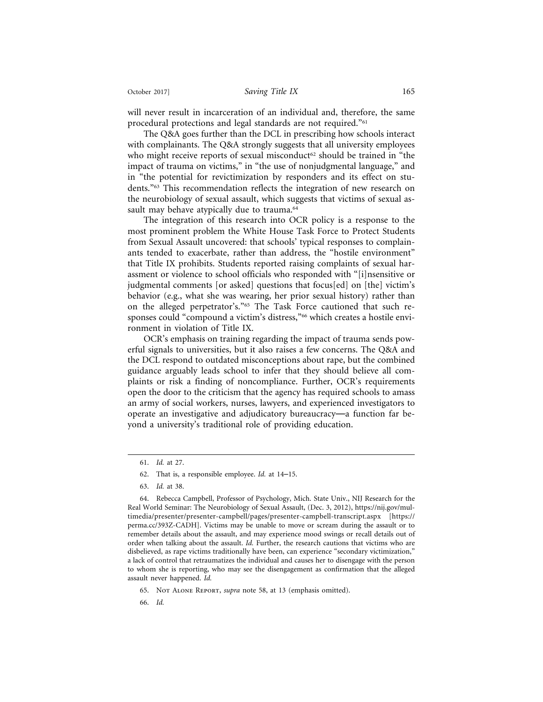will never result in incarceration of an individual and, therefore, the same procedural protections and legal standards are not required."61

The Q&A goes further than the DCL in prescribing how schools interact with complainants. The Q&A strongly suggests that all university employees who might receive reports of sexual misconduct<sup>62</sup> should be trained in "the impact of trauma on victims," in "the use of nonjudgmental language," and in "the potential for revictimization by responders and its effect on students."63 This recommendation reflects the integration of new research on the neurobiology of sexual assault, which suggests that victims of sexual assault may behave atypically due to trauma.<sup>64</sup>

The integration of this research into OCR policy is a response to the most prominent problem the White House Task Force to Protect Students from Sexual Assault uncovered: that schools' typical responses to complainants tended to exacerbate, rather than address, the "hostile environment" that Title IX prohibits. Students reported raising complaints of sexual harassment or violence to school officials who responded with "[i]nsensitive or judgmental comments [or asked] questions that focus[ed] on [the] victim's behavior (e.g., what she was wearing, her prior sexual history) rather than on the alleged perpetrator's."65 The Task Force cautioned that such responses could "compound a victim's distress,"<sup>66</sup> which creates a hostile environment in violation of Title IX.

OCR's emphasis on training regarding the impact of trauma sends powerful signals to universities, but it also raises a few concerns. The Q&A and the DCL respond to outdated misconceptions about rape, but the combined guidance arguably leads school to infer that they should believe all complaints or risk a finding of noncompliance. Further, OCR's requirements open the door to the criticism that the agency has required schools to amass an army of social workers, nurses, lawyers, and experienced investigators to operate an investigative and adjudicatory bureaucracy—a function far beyond a university's traditional role of providing education.

<sup>61.</sup> *Id.* at 27.

<sup>62.</sup> That is, a responsible employee. *Id.* at 14–15.

<sup>63.</sup> *Id.* at 38.

<sup>64.</sup> Rebecca Campbell, Professor of Psychology, Mich. State Univ., NIJ Research for the Real World Seminar: The Neurobiology of Sexual Assault, (Dec. 3, 2012), https://nij.gov/multimedia/presenter/presenter-campbell/pages/presenter-campbell-transcript.aspx [https:// perma.cc/393Z-CADH]. Victims may be unable to move or scream during the assault or to remember details about the assault, and may experience mood swings or recall details out of order when talking about the assault. *Id.* Further, the research cautions that victims who are disbelieved, as rape victims traditionally have been, can experience "secondary victimization," a lack of control that retraumatizes the individual and causes her to disengage with the person to whom she is reporting, who may see the disengagement as confirmation that the alleged assault never happened. *Id.*

<sup>65.</sup> Not Alone Report, *supra* note 58, at 13 (emphasis omitted).

<sup>66.</sup> *Id.*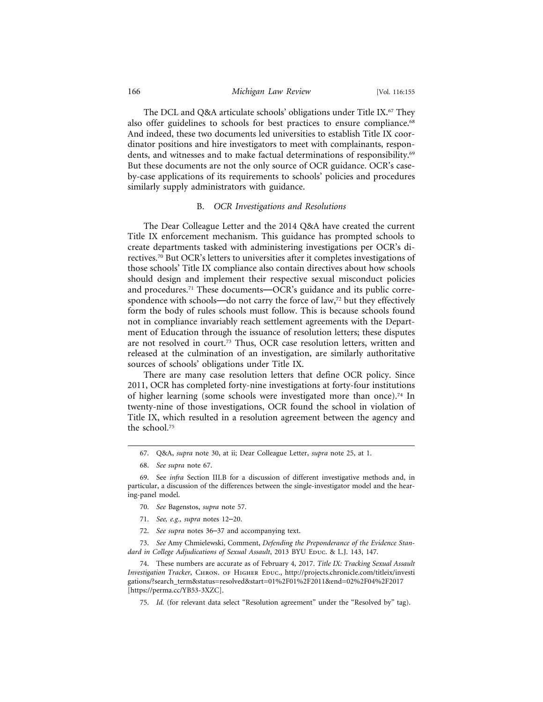#### 166 *Michigan Law Review* [Vol. 116:155

The DCL and Q&A articulate schools' obligations under Title IX.67 They also offer guidelines to schools for best practices to ensure compliance.<sup>68</sup> And indeed, these two documents led universities to establish Title IX coordinator positions and hire investigators to meet with complainants, respondents, and witnesses and to make factual determinations of responsibility.<sup>69</sup> But these documents are not the only source of OCR guidance. OCR's caseby-case applications of its requirements to schools' policies and procedures similarly supply administrators with guidance.

#### B. *OCR Investigations and Resolutions*

The Dear Colleague Letter and the 2014 Q&A have created the current Title IX enforcement mechanism. This guidance has prompted schools to create departments tasked with administering investigations per OCR's directives.70 But OCR's letters to universities after it completes investigations of those schools' Title IX compliance also contain directives about how schools should design and implement their respective sexual misconduct policies and procedures.71 These documents—OCR's guidance and its public correspondence with schools—do not carry the force of law,<sup>72</sup> but they effectively form the body of rules schools must follow. This is because schools found not in compliance invariably reach settlement agreements with the Department of Education through the issuance of resolution letters; these disputes are not resolved in court.73 Thus, OCR case resolution letters, written and released at the culmination of an investigation, are similarly authoritative sources of schools' obligations under Title IX.

There are many case resolution letters that define OCR policy. Since 2011, OCR has completed forty-nine investigations at forty-four institutions of higher learning (some schools were investigated more than once).74 In twenty-nine of those investigations, OCR found the school in violation of Title IX, which resulted in a resolution agreement between the agency and the school.75

- 70. *See* Bagenstos, *supra* note 57.
- 71. *See, e.g., supra* notes 12–20.
- 72. *See supra* notes 36–37 and accompanying text.

73. *See* Amy Chmielewski, Comment, *Defending the Preponderance of the Evidence Stan*dard in College Adjudications of Sexual Assault, 2013 BYU Educ. & L.J. 143, 147.

74. These numbers are accurate as of February 4, 2017. *Title IX: Tracking Sexual Assault Investigation Tracker*, Chron. of Higher Educ., http://projects.chronicle.com/titleix/investi gations/?search\_term&status=resolved&start=01%2F01%2F2011&end=02%2F04%2F2017 [https://perma.cc/YB53-3XZC].

75. *Id.* (for relevant data select "Resolution agreement" under the "Resolved by" tag).

<sup>67.</sup> Q&A, *supra* note 30, at ii; Dear Colleague Letter, *supra* note 25, at 1.

<sup>68.</sup> *See supra* note 67.

<sup>69.</sup> See *infra* Section III.B for a discussion of different investigative methods and, in particular, a discussion of the differences between the single-investigator model and the hearing-panel model.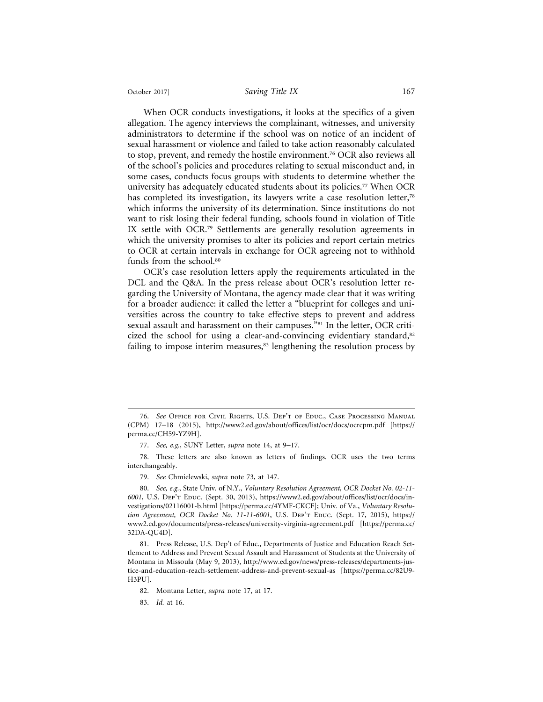When OCR conducts investigations, it looks at the specifics of a given allegation. The agency interviews the complainant, witnesses, and university administrators to determine if the school was on notice of an incident of sexual harassment or violence and failed to take action reasonably calculated to stop, prevent, and remedy the hostile environment.<sup>76</sup> OCR also reviews all of the school's policies and procedures relating to sexual misconduct and, in some cases, conducts focus groups with students to determine whether the university has adequately educated students about its policies.77 When OCR has completed its investigation, its lawyers write a case resolution letter,<sup>78</sup> which informs the university of its determination. Since institutions do not want to risk losing their federal funding, schools found in violation of Title IX settle with OCR.<sup>79</sup> Settlements are generally resolution agreements in which the university promises to alter its policies and report certain metrics to OCR at certain intervals in exchange for OCR agreeing not to withhold funds from the school.<sup>80</sup>

OCR's case resolution letters apply the requirements articulated in the DCL and the Q&A. In the press release about OCR's resolution letter regarding the University of Montana, the agency made clear that it was writing for a broader audience: it called the letter a "blueprint for colleges and universities across the country to take effective steps to prevent and address sexual assault and harassment on their campuses."<sup>81</sup> In the letter, OCR criticized the school for using a clear-and-convincing evidentiary standard, $82$ failing to impose interim measures, $83$  lengthening the resolution process by

<sup>76.</sup> *See* Office for Civil Rights, U.S. Dep't of Educ., Case Processing Manual (CPM) 17–18 (2015), http://www2.ed.gov/about/offices/list/ocr/docs/ocrcpm.pdf [https:// perma.cc/CH59-YZ9H].

<sup>77.</sup> *See, e.g.*, SUNY Letter, *supra* note 14, at 9–17.

<sup>78.</sup> These letters are also known as letters of findings. OCR uses the two terms interchangeably.

<sup>79.</sup> *See* Chmielewski, *supra* note 73, at 147.

<sup>80.</sup> *See, e.g.*, State Univ. of N.Y., *Voluntary Resolution Agreement, OCR Docket No. 02-11- 6001*, U.S. Dep't Educ. (Sept. 30, 2013), https://www2.ed.gov/about/offices/list/ocr/docs/investigations/02116001-b.html [https://perma.cc/4YMF-CKCF]; Univ. of Va., *Voluntary Resolution Agreement, OCR Docket No. 11-11-6001, U.S. DEP'T EDUC. (Sept. 17, 2015), https://* www2.ed.gov/documents/press-releases/university-virginia-agreement.pdf [https://perma.cc/ 32DA-QU4D].

<sup>81.</sup> Press Release, U.S. Dep't of Educ., Departments of Justice and Education Reach Settlement to Address and Prevent Sexual Assault and Harassment of Students at the University of Montana in Missoula (May 9, 2013), http://www.ed.gov/news/press-releases/departments-justice-and-education-reach-settlement-address-and-prevent-sexual-as [https://perma.cc/82U9- H3PU].

<sup>82.</sup> Montana Letter, *supra* note 17, at 17.

<sup>83.</sup> *Id.* at 16.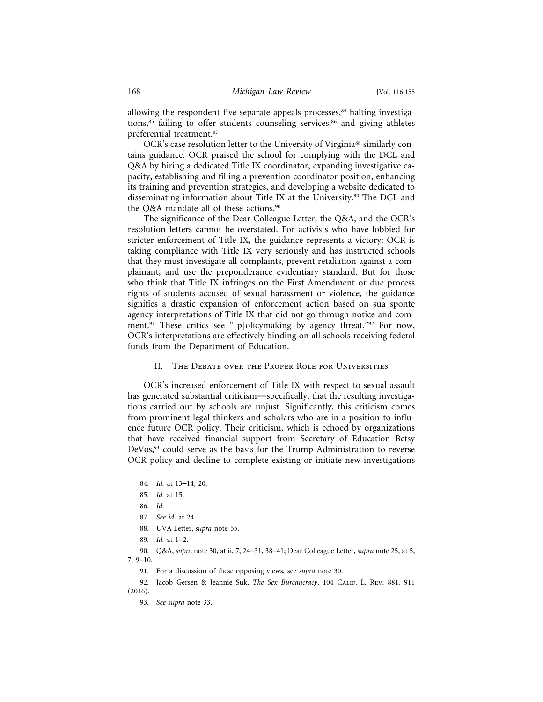allowing the respondent five separate appeals processes,<sup>84</sup> halting investigations, $85$  failing to offer students counseling services, $86$  and giving athletes preferential treatment.87

OCR's case resolution letter to the University of Virginia<sup>88</sup> similarly contains guidance. OCR praised the school for complying with the DCL and Q&A by hiring a dedicated Title IX coordinator, expanding investigative capacity, establishing and filling a prevention coordinator position, enhancing its training and prevention strategies, and developing a website dedicated to disseminating information about Title IX at the University.89 The DCL and the Q&A mandate all of these actions.<sup>90</sup>

The significance of the Dear Colleague Letter, the Q&A, and the OCR's resolution letters cannot be overstated. For activists who have lobbied for stricter enforcement of Title IX, the guidance represents a victory: OCR is taking compliance with Title IX very seriously and has instructed schools that they must investigate all complaints, prevent retaliation against a complainant, and use the preponderance evidentiary standard. But for those who think that Title IX infringes on the First Amendment or due process rights of students accused of sexual harassment or violence, the guidance signifies a drastic expansion of enforcement action based on sua sponte agency interpretations of Title IX that did not go through notice and comment.<sup>91</sup> These critics see "[p]olicymaking by agency threat."<sup>92</sup> For now, OCR's interpretations are effectively binding on all schools receiving federal funds from the Department of Education.

#### II. The Debate over the Proper Role for Universities

OCR's increased enforcement of Title IX with respect to sexual assault has generated substantial criticism—specifically, that the resulting investigations carried out by schools are unjust. Significantly, this criticism comes from prominent legal thinkers and scholars who are in a position to influence future OCR policy. Their criticism, which is echoed by organizations that have received financial support from Secretary of Education Betsy DeVos,<sup>93</sup> could serve as the basis for the Trump Administration to reverse OCR policy and decline to complete existing or initiate new investigations

93. *See supra* note 33.

- 88. UVA Letter, *supra* note 55.
- 89. *Id.* at 1–2.
- 90. Q&A, *supra* note 30, at ii, 7, 24–31, 38–41; Dear Colleague Letter, *supra* note 25, at 5,

7, 9–10.

- 91. For a discussion of these opposing views, see *supra* note 30.
- 92. Jacob Gersen & Jeannie Suk, *The Sex Bureaucracy*, 104 Calif. L. Rev. 881, 911 (2016).

<sup>84.</sup> *Id.* at 13–14, 20.

<sup>85.</sup> *Id.* at 15.

<sup>86.</sup> *Id.*

<sup>87.</sup> *See id.* at 24.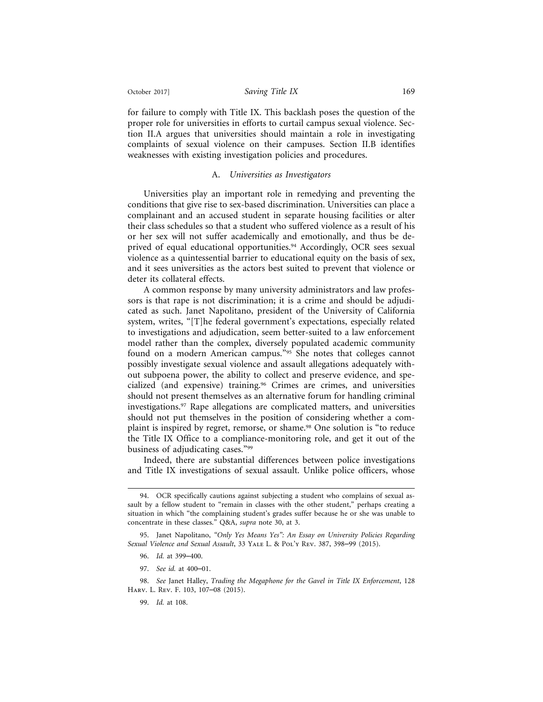for failure to comply with Title IX. This backlash poses the question of the proper role for universities in efforts to curtail campus sexual violence. Section II.A argues that universities should maintain a role in investigating complaints of sexual violence on their campuses. Section II.B identifies weaknesses with existing investigation policies and procedures.

#### A. *Universities as Investigators*

Universities play an important role in remedying and preventing the conditions that give rise to sex-based discrimination. Universities can place a complainant and an accused student in separate housing facilities or alter their class schedules so that a student who suffered violence as a result of his or her sex will not suffer academically and emotionally, and thus be deprived of equal educational opportunities.<sup>94</sup> Accordingly, OCR sees sexual violence as a quintessential barrier to educational equity on the basis of sex, and it sees universities as the actors best suited to prevent that violence or deter its collateral effects.

A common response by many university administrators and law professors is that rape is not discrimination; it is a crime and should be adjudicated as such. Janet Napolitano, president of the University of California system, writes, "[T]he federal government's expectations, especially related to investigations and adjudication, seem better-suited to a law enforcement model rather than the complex, diversely populated academic community found on a modern American campus."95 She notes that colleges cannot possibly investigate sexual violence and assault allegations adequately without subpoena power, the ability to collect and preserve evidence, and specialized (and expensive) training.96 Crimes are crimes, and universities should not present themselves as an alternative forum for handling criminal investigations.97 Rape allegations are complicated matters, and universities should not put themselves in the position of considering whether a complaint is inspired by regret, remorse, or shame.98 One solution is "to reduce the Title IX Office to a compliance-monitoring role, and get it out of the business of adjudicating cases."99

Indeed, there are substantial differences between police investigations and Title IX investigations of sexual assault. Unlike police officers, whose

- 96. *Id.* at 399–400.
- 97. *See id.* at 400–01.

<sup>94.</sup> OCR specifically cautions against subjecting a student who complains of sexual assault by a fellow student to "remain in classes with the other student," perhaps creating a situation in which "the complaining student's grades suffer because he or she was unable to concentrate in these classes." Q&A, *supra* note 30, at 3.

<sup>95.</sup> Janet Napolitano, *"Only Yes Means Yes": An Essay on University Policies Regarding Sexual Violence and Sexual Assault*, 33 Yale L. & Pol'y Rev. 387, 398–99 (2015).

<sup>98.</sup> *See* Janet Halley, *Trading the Megaphone for the Gavel in Title IX Enforcement*, 128 Harv. L. Rev. F. 103, 107–08 (2015).

<sup>99.</sup> *Id.* at 108.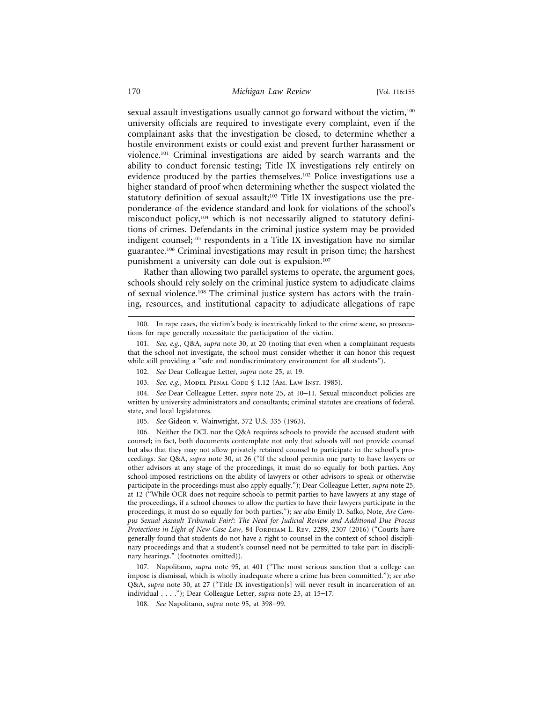sexual assault investigations usually cannot go forward without the victim,<sup>100</sup> university officials are required to investigate every complaint, even if the complainant asks that the investigation be closed, to determine whether a hostile environment exists or could exist and prevent further harassment or violence.101 Criminal investigations are aided by search warrants and the ability to conduct forensic testing; Title IX investigations rely entirely on evidence produced by the parties themselves.102 Police investigations use a higher standard of proof when determining whether the suspect violated the statutory definition of sexual assault;<sup>103</sup> Title IX investigations use the preponderance-of-the-evidence standard and look for violations of the school's misconduct policy,<sup>104</sup> which is not necessarily aligned to statutory definitions of crimes. Defendants in the criminal justice system may be provided indigent counsel;<sup>105</sup> respondents in a Title IX investigation have no similar guarantee.106 Criminal investigations may result in prison time; the harshest punishment a university can dole out is expulsion.107

Rather than allowing two parallel systems to operate, the argument goes, schools should rely solely on the criminal justice system to adjudicate claims of sexual violence.108 The criminal justice system has actors with the training, resources, and institutional capacity to adjudicate allegations of rape

105. *See* Gideon v. Wainwright, 372 U.S. 335 (1963).

107. Napolitano, *supra* note 95, at 401 ("The most serious sanction that a college can impose is dismissal, which is wholly inadequate where a crime has been committed."); *see also* Q&A, *supra* note 30, at 27 ("Title IX investigation[s] will never result in incarceration of an individual . . . ."); Dear Colleague Letter, *supra* note 25, at 15–17.

108. *See* Napolitano, *supra* note 95, at 398–99.

<sup>100.</sup> In rape cases, the victim's body is inextricably linked to the crime scene, so prosecutions for rape generally necessitate the participation of the victim.

<sup>101.</sup> *See, e.g.*, Q&A, *supra* note 30, at 20 (noting that even when a complainant requests that the school not investigate, the school must consider whether it can honor this request while still providing a "safe and nondiscriminatory environment for all students").

<sup>102.</sup> *See* Dear Colleague Letter, *supra* note 25, at 19.

<sup>103.</sup> *See, e.g.*, Model Penal Code § 1.12 (Am. Law Inst. 1985).

<sup>104.</sup> *See* Dear Colleague Letter, *supra* note 25, at 10–11. Sexual misconduct policies are written by university administrators and consultants; criminal statutes are creations of federal, state, and local legislatures.

<sup>106.</sup> Neither the DCL nor the Q&A requires schools to provide the accused student with counsel; in fact, both documents contemplate not only that schools will not provide counsel but also that they may not allow privately retained counsel to participate in the school's proceedings. *See* Q&A, *supra* note 30, at 26 ("If the school permits one party to have lawyers or other advisors at any stage of the proceedings, it must do so equally for both parties. Any school-imposed restrictions on the ability of lawyers or other advisors to speak or otherwise participate in the proceedings must also apply equally."); Dear Colleague Letter, *supra* note 25, at 12 ("While OCR does not require schools to permit parties to have lawyers at any stage of the proceedings, if a school chooses to allow the parties to have their lawyers participate in the proceedings, it must do so equally for both parties."); *see also* Emily D. Safko, Note, *Are Campus Sexual Assault Tribunals Fair?: The Need for Judicial Review and Additional Due Process* Protections in Light of New Case Law, 84 FORDHAM L. REV. 2289, 2307 (2016) ("Courts have generally found that students do not have a right to counsel in the context of school disciplinary proceedings and that a student's counsel need not be permitted to take part in disciplinary hearings." (footnotes omitted)).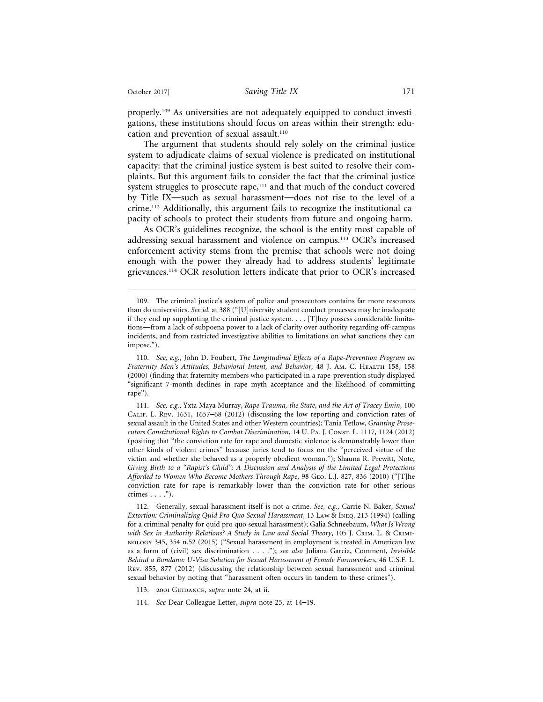properly.<sup>109</sup> As universities are not adequately equipped to conduct investigations, these institutions should focus on areas within their strength: education and prevention of sexual assault.<sup>110</sup>

The argument that students should rely solely on the criminal justice system to adjudicate claims of sexual violence is predicated on institutional capacity: that the criminal justice system is best suited to resolve their complaints. But this argument fails to consider the fact that the criminal justice system struggles to prosecute rape,<sup>111</sup> and that much of the conduct covered by Title IX—such as sexual harassment—does not rise to the level of a crime.112 Additionally, this argument fails to recognize the institutional capacity of schools to protect their students from future and ongoing harm.

As OCR's guidelines recognize, the school is the entity most capable of addressing sexual harassment and violence on campus.113 OCR's increased enforcement activity stems from the premise that schools were not doing enough with the power they already had to address students' legitimate grievances.114 OCR resolution letters indicate that prior to OCR's increased

111. *See, e.g.*, Yxta Maya Murray, *Rape Trauma, the State, and the Art of Tracey Emin*, 100 Calif. L. Rev. 1631, 1657–68 (2012) (discussing the low reporting and conviction rates of sexual assault in the United States and other Western countries); Tania Tetlow, *Granting Prosecutors Constitutional Rights to Combat Discrimination*, 14 U. Pa. J. Const. L. 1117, 1124 (2012) (positing that "the conviction rate for rape and domestic violence is demonstrably lower than other kinds of violent crimes" because juries tend to focus on the "perceived virtue of the victim and whether she behaved as a properly obedient woman."); Shauna R. Prewitt, Note, *Giving Birth to a "Rapist's Child": A Discussion and Analysis of the Limited Legal Protections Afforded to Women Who Become Mothers Through Rape*, 98 Geo. L.J. 827, 836 (2010) ("[T]he conviction rate for rape is remarkably lower than the conviction rate for other serious crimes  $\ldots$ .").

112. Generally, sexual harassment itself is not a crime. *See, e.g.*, Carrie N. Baker, *Sexual Extortion: Criminalizing Quid Pro Quo Sexual Harassment*, 13 Law & Ineq. 213 (1994) (calling for a criminal penalty for quid pro quo sexual harassment); Galia Schneebaum, *What Is Wrong with Sex in Authority Relations? A Study in Law and Social Theory*, 105 J. Crim. L. & Criminology 345, 354 n.52 (2015) ("Sexual harassment in employment is treated in American law as a form of (civil) sex discrimination . . . ."); *see also* Juliana Garcia, Comment, *Invisible Behind a Bandana: U-Visa Solution for Sexual Harassment of Female Farmworkers*, 46 U.S.F. L. Rev. 855, 877 (2012) (discussing the relationship between sexual harassment and criminal sexual behavior by noting that "harassment often occurs in tandem to these crimes").

113. 2001 Guidance, *supra* note 24, at ii.

114. *See* Dear Colleague Letter, *supra* note 25, at 14–19.

<sup>109.</sup> The criminal justice's system of police and prosecutors contains far more resources than do universities. *See id.* at 388 ("[U]niversity student conduct processes may be inadequate if they end up supplanting the criminal justice system. . . . [T]hey possess considerable limitations—from a lack of subpoena power to a lack of clarity over authority regarding off-campus incidents, and from restricted investigative abilities to limitations on what sanctions they can impose.").

<sup>110.</sup> *See, e.g.*, John D. Foubert, *The Longitudinal Effects of a Rape-Prevention Program on Fraternity Men's Attitudes, Behavioral Intent, and Behavior, 48 J. Am. C. HEALTH 158, 158* (2000) (finding that fraternity members who participated in a rape-prevention study displayed "significant 7-month declines in rape myth acceptance and the likelihood of committing rape").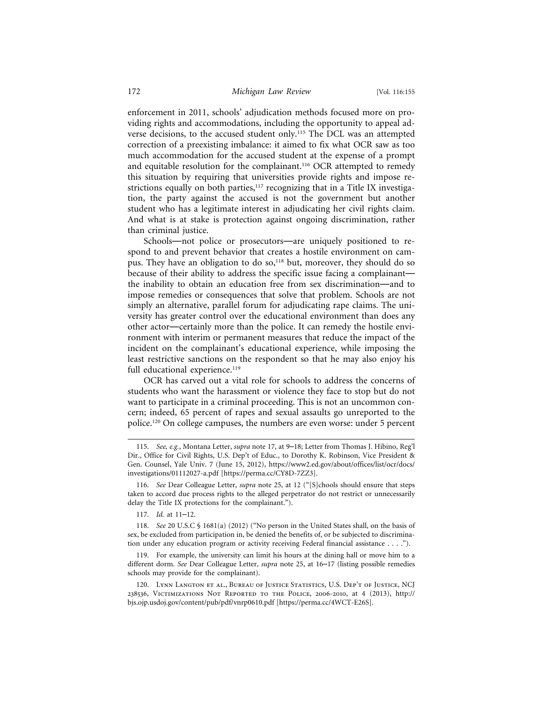enforcement in 2011, schools' adjudication methods focused more on providing rights and accommodations, including the opportunity to appeal adverse decisions, to the accused student only.115 The DCL was an attempted correction of a preexisting imbalance: it aimed to fix what OCR saw as too much accommodation for the accused student at the expense of a prompt and equitable resolution for the complainant.<sup>116</sup> OCR attempted to remedy this situation by requiring that universities provide rights and impose restrictions equally on both parties, $117$  recognizing that in a Title IX investigation, the party against the accused is not the government but another student who has a legitimate interest in adjudicating her civil rights claim. And what is at stake is protection against ongoing discrimination, rather than criminal justice.

Schools—not police or prosecutors—are uniquely positioned to respond to and prevent behavior that creates a hostile environment on campus. They have an obligation to do so,<sup>118</sup> but, moreover, they should do so because of their ability to address the specific issue facing a complainant the inability to obtain an education free from sex discrimination—and to impose remedies or consequences that solve that problem. Schools are not simply an alternative, parallel forum for adjudicating rape claims. The university has greater control over the educational environment than does any other actor—certainly more than the police. It can remedy the hostile environment with interim or permanent measures that reduce the impact of the incident on the complainant's educational experience, while imposing the least restrictive sanctions on the respondent so that he may also enjoy his full educational experience.<sup>119</sup>

OCR has carved out a vital role for schools to address the concerns of students who want the harassment or violence they face to stop but do not want to participate in a criminal proceeding. This is not an uncommon concern; indeed, 65 percent of rapes and sexual assaults go unreported to the police.120 On college campuses, the numbers are even worse: under 5 percent

<sup>115.</sup> *See, e.g.*, Montana Letter, *supra* note 17, at 9–18; Letter from Thomas J. Hibino, Reg'l Dir., Office for Civil Rights, U.S. Dep't of Educ., to Dorothy K. Robinson, Vice President & Gen. Counsel, Yale Univ. 7 (June 15, 2012), https://www2.ed.gov/about/offices/list/ocr/docs/ investigations/01112027-a.pdf [https://perma.cc/CY8D-7ZZ3].

<sup>116.</sup> *See* Dear Colleague Letter, *supra* note 25, at 12 ("[S]chools should ensure that steps taken to accord due process rights to the alleged perpetrator do not restrict or unnecessarily delay the Title IX protections for the complainant.").

<sup>117.</sup> *Id.* at 11–12.

<sup>118.</sup> *See* 20 U.S.C § 1681(a) (2012) ("No person in the United States shall, on the basis of sex, be excluded from participation in, be denied the benefits of, or be subjected to discrimination under any education program or activity receiving Federal financial assistance . . . .").

<sup>119.</sup> For example, the university can limit his hours at the dining hall or move him to a different dorm. *See* Dear Colleague Letter, *supra* note 25, at 16–17 (listing possible remedies schools may provide for the complainant).

<sup>120.</sup> Lynn Langton et al., Bureau of Justice Statistics, U.S. Dep't of Justice, NCJ 238536, Victimizations Not Reported to the Police, 2006-2010, at 4 (2013), http:// bjs.ojp.usdoj.gov/content/pub/pdf/vnrp0610.pdf [https://perma.cc/4WCT-E26S].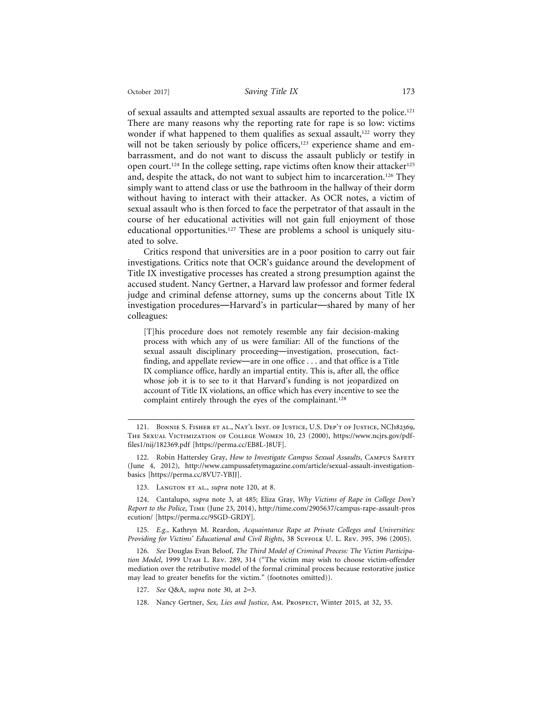of sexual assaults and attempted sexual assaults are reported to the police.121 There are many reasons why the reporting rate for rape is so low: victims wonder if what happened to them qualifies as sexual assault,<sup>122</sup> worry they will not be taken seriously by police officers,<sup>123</sup> experience shame and embarrassment, and do not want to discuss the assault publicly or testify in open court.<sup>124</sup> In the college setting, rape victims often know their attacker<sup>125</sup> and, despite the attack, do not want to subject him to incarceration.126 They simply want to attend class or use the bathroom in the hallway of their dorm without having to interact with their attacker. As OCR notes, a victim of sexual assault who is then forced to face the perpetrator of that assault in the course of her educational activities will not gain full enjoyment of those educational opportunities.<sup>127</sup> These are problems a school is uniquely situated to solve.

Critics respond that universities are in a poor position to carry out fair investigations. Critics note that OCR's guidance around the development of Title IX investigative processes has created a strong presumption against the accused student. Nancy Gertner, a Harvard law professor and former federal judge and criminal defense attorney, sums up the concerns about Title IX investigation procedures—Harvard's in particular—shared by many of her colleagues:

[T]his procedure does not remotely resemble any fair decision-making process with which any of us were familiar: All of the functions of the sexual assault disciplinary proceeding—investigation, prosecution, factfinding, and appellate review—are in one office . . . and that office is a Title IX compliance office, hardly an impartial entity. This is, after all, the office whose job it is to see to it that Harvard's funding is not jeopardized on account of Title IX violations, an office which has every incentive to see the complaint entirely through the eyes of the complainant.<sup>128</sup>

122. Robin Hattersley Gray, *How to Investigate Campus Sexual Assaults*, CAMPUS SAFETY (June 4, 2012), http://www.campussafetymagazine.com/article/sexual-assault-investigationbasics [https://perma.cc/8VU7-YBJJ].

125. *E.g.*, Kathryn M. Reardon, *Acquaintance Rape at Private Colleges and Universities:* Providing for Victims' Educational and Civil Rights, 38 SUFFOLK U. L. REV. 395, 396 (2005).

126. *See* Douglas Evan Beloof, *The Third Model of Criminal Process: The Victim Participa*tion Model, 1999 UTAH L. REV. 289, 314 ("The victim may wish to choose victim-offender mediation over the retributive model of the formal criminal process because restorative justice may lead to greater benefits for the victim." (footnotes omitted)).

127. *See* Q&A, *supra* note 30, at 2–3.

<sup>121.</sup> Bonnie S. Fisher et al., Nat'l Inst. of Justice, U.S. Dep't of Justice, NCJ182369, The Sexual Victimization of College Women 10, 23 (2000), https://www.ncjrs.gov/pdffiles1/nij/182369.pdf [https://perma.cc/EB8L-J8UF].

<sup>123.</sup> Langton et al., *supra* note 120, at 8.

<sup>124.</sup> Cantalupo, *supra* note 3, at 485; Eliza Gray, *Why Victims of Rape in College Don't Report to the Police*, Time (June 23, 2014), http://time.com/2905637/campus-rape-assault-pros ecution/ [https://perma.cc/9SGD-GRDY].

<sup>128.</sup> Nancy Gertner, *Sex, Lies and Justice*, Am. Prospect, Winter 2015, at 32, 35.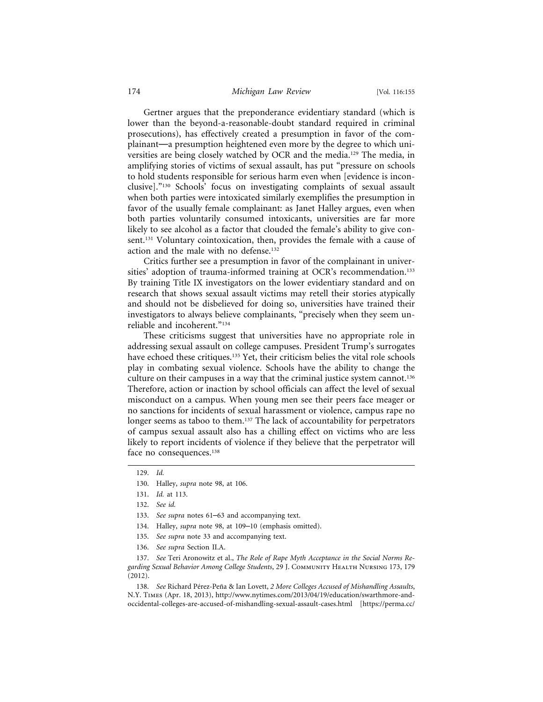#### 174 *Michigan Law Review* [Vol. 116:155

Gertner argues that the preponderance evidentiary standard (which is lower than the beyond-a-reasonable-doubt standard required in criminal prosecutions), has effectively created a presumption in favor of the complainant—a presumption heightened even more by the degree to which universities are being closely watched by OCR and the media.<sup>129</sup> The media, in amplifying stories of victims of sexual assault, has put "pressure on schools to hold students responsible for serious harm even when [evidence is inconclusive]."130 Schools' focus on investigating complaints of sexual assault when both parties were intoxicated similarly exemplifies the presumption in favor of the usually female complainant: as Janet Halley argues, even when both parties voluntarily consumed intoxicants, universities are far more likely to see alcohol as a factor that clouded the female's ability to give consent.131 Voluntary cointoxication, then, provides the female with a cause of action and the male with no defense.132

Critics further see a presumption in favor of the complainant in universities' adoption of trauma-informed training at OCR's recommendation.<sup>133</sup> By training Title IX investigators on the lower evidentiary standard and on research that shows sexual assault victims may retell their stories atypically and should not be disbelieved for doing so, universities have trained their investigators to always believe complainants, "precisely when they seem unreliable and incoherent."134

These criticisms suggest that universities have no appropriate role in addressing sexual assault on college campuses. President Trump's surrogates have echoed these critiques.<sup>135</sup> Yet, their criticism belies the vital role schools play in combating sexual violence. Schools have the ability to change the culture on their campuses in a way that the criminal justice system cannot.136 Therefore, action or inaction by school officials can affect the level of sexual misconduct on a campus. When young men see their peers face meager or no sanctions for incidents of sexual harassment or violence, campus rape no longer seems as taboo to them.<sup>137</sup> The lack of accountability for perpetrators of campus sexual assault also has a chilling effect on victims who are less likely to report incidents of violence if they believe that the perpetrator will face no consequences.<sup>138</sup>

- 135. *See supra* note 33 and accompanying text.
- 136. *See supra* Section II.A.

137. *See* Teri Aronowitz et al., *The Role of Rape Myth Acceptance in the Social Norms Regarding Sexual Behavior Among College Students*, 29 J. Community Health Nursing 173, 179 (2012).

138. See Richard Pérez-Peña & Ian Lovett, 2 More Colleges Accused of Mishandling Assaults, N.Y. Times (Apr. 18, 2013), http://www.nytimes.com/2013/04/19/education/swarthmore-andoccidental-colleges-are-accused-of-mishandling-sexual-assault-cases.html [https://perma.cc/

<sup>129.</sup> *Id.*

<sup>130.</sup> Halley, *supra* note 98, at 106.

<sup>131.</sup> *Id.* at 113.

<sup>132.</sup> *See id.*

<sup>133.</sup> *See supra* notes 61–63 and accompanying text.

<sup>134.</sup> Halley, *supra* note 98, at 109–10 (emphasis omitted).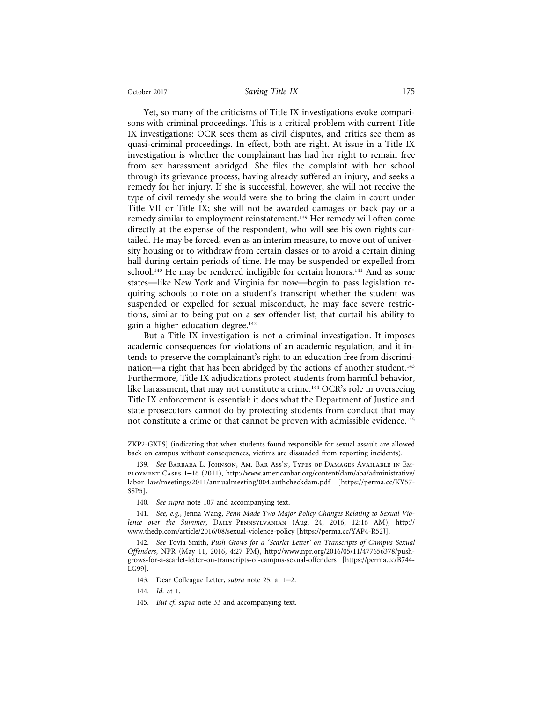Yet, so many of the criticisms of Title IX investigations evoke comparisons with criminal proceedings. This is a critical problem with current Title IX investigations: OCR sees them as civil disputes, and critics see them as quasi-criminal proceedings. In effect, both are right. At issue in a Title IX investigation is whether the complainant has had her right to remain free from sex harassment abridged. She files the complaint with her school through its grievance process, having already suffered an injury, and seeks a remedy for her injury. If she is successful, however, she will not receive the type of civil remedy she would were she to bring the claim in court under Title VII or Title IX; she will not be awarded damages or back pay or a remedy similar to employment reinstatement.139 Her remedy will often come directly at the expense of the respondent, who will see his own rights curtailed. He may be forced, even as an interim measure, to move out of university housing or to withdraw from certain classes or to avoid a certain dining hall during certain periods of time. He may be suspended or expelled from school.<sup>140</sup> He may be rendered ineligible for certain honors.<sup>141</sup> And as some states—like New York and Virginia for now—begin to pass legislation requiring schools to note on a student's transcript whether the student was suspended or expelled for sexual misconduct, he may face severe restrictions, similar to being put on a sex offender list, that curtail his ability to gain a higher education degree.<sup>142</sup>

But a Title IX investigation is not a criminal investigation. It imposes academic consequences for violations of an academic regulation, and it intends to preserve the complainant's right to an education free from discrimination—a right that has been abridged by the actions of another student.<sup>143</sup> Furthermore, Title IX adjudications protect students from harmful behavior, like harassment, that may not constitute a crime.<sup>144</sup> OCR's role in overseeing Title IX enforcement is essential: it does what the Department of Justice and state prosecutors cannot do by protecting students from conduct that may not constitute a crime or that cannot be proven with admissible evidence.145

- 143. Dear Colleague Letter, *supra* note 25, at 1–2.
- 144. *Id.* at 1.
- 145. *But cf. supra* note 33 and accompanying text.

ZKP2-GXFS] (indicating that when students found responsible for sexual assault are allowed back on campus without consequences, victims are dissuaded from reporting incidents).

<sup>139.</sup> *See* Barbara L. Johnson, Am. Bar Ass'n, Types of Damages Available in Employment Cases 1–16 (2011), http://www.americanbar.org/content/dam/aba/administrative/ labor\_law/meetings/2011/annualmeeting/004.authcheckdam.pdf [https://perma.cc/KY57- SSP5].

<sup>140.</sup> *See supra* note 107 and accompanying text.

<sup>141.</sup> *See, e.g.*, Jenna Wang, *Penn Made Two Major Policy Changes Relating to Sexual Violence over the Summer*, Daily Pennsylvanian (Aug. 24, 2016, 12:16 AM), http:// www.thedp.com/article/2016/08/sexual-violence-policy [https://perma.cc/YAP4-R52J].

<sup>142.</sup> *See* Tovia Smith, *Push Grows for a 'Scarlet Letter' on Transcripts of Campus Sexual Offenders*, NPR (May 11, 2016, 4:27 PM), http://www.npr.org/2016/05/11/477656378/pushgrows-for-a-scarlet-letter-on-transcripts-of-campus-sexual-offenders [https://perma.cc/B744- LG99].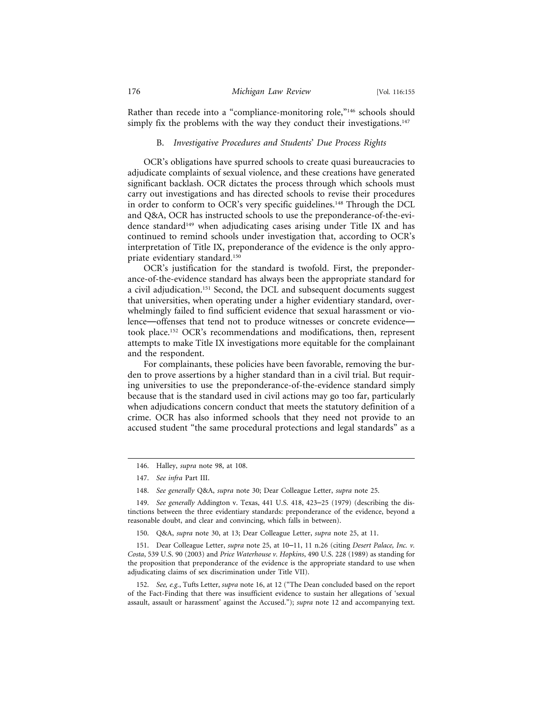Rather than recede into a "compliance-monitoring role,"<sup>146</sup> schools should simply fix the problems with the way they conduct their investigations. $147$ 

#### B. *Investigative Procedures and Students*' *Due Process Rights*

OCR's obligations have spurred schools to create quasi bureaucracies to adjudicate complaints of sexual violence, and these creations have generated significant backlash. OCR dictates the process through which schools must carry out investigations and has directed schools to revise their procedures in order to conform to OCR's very specific guidelines.148 Through the DCL and Q&A, OCR has instructed schools to use the preponderance-of-the-evidence standard<sup>149</sup> when adjudicating cases arising under Title IX and has continued to remind schools under investigation that, according to OCR's interpretation of Title IX, preponderance of the evidence is the only appropriate evidentiary standard.150

OCR's justification for the standard is twofold. First, the preponderance-of-the-evidence standard has always been the appropriate standard for a civil adjudication.151 Second, the DCL and subsequent documents suggest that universities, when operating under a higher evidentiary standard, overwhelmingly failed to find sufficient evidence that sexual harassment or violence—offenses that tend not to produce witnesses or concrete evidence took place.152 OCR's recommendations and modifications, then, represent attempts to make Title IX investigations more equitable for the complainant and the respondent.

For complainants, these policies have been favorable, removing the burden to prove assertions by a higher standard than in a civil trial. But requiring universities to use the preponderance-of-the-evidence standard simply because that is the standard used in civil actions may go too far, particularly when adjudications concern conduct that meets the statutory definition of a crime. OCR has also informed schools that they need not provide to an accused student "the same procedural protections and legal standards" as a

<sup>146.</sup> Halley, *supra* note 98, at 108.

<sup>147.</sup> *See infra* Part III.

<sup>148.</sup> *See generally* Q&A, *supra* note 30; Dear Colleague Letter, *supra* note 25.

<sup>149.</sup> *See generally* Addington v. Texas, 441 U.S. 418, 423–25 (1979) (describing the distinctions between the three evidentiary standards: preponderance of the evidence, beyond a reasonable doubt, and clear and convincing, which falls in between).

<sup>150.</sup> Q&A, *supra* note 30, at 13; Dear Colleague Letter, *supra* note 25, at 11.

<sup>151.</sup> Dear Colleague Letter, *supra* note 25, at 10–11, 11 n.26 (citing *Desert Palace, Inc. v. Costa*, 539 U.S. 90 (2003) and *Price Waterhouse v. Hopkins*, 490 U.S. 228 (1989) as standing for the proposition that preponderance of the evidence is the appropriate standard to use when adjudicating claims of sex discrimination under Title VII).

<sup>152.</sup> *See, e.g.*, Tufts Letter, *supra* note 16, at 12 ("The Dean concluded based on the report of the Fact-Finding that there was insufficient evidence to sustain her allegations of 'sexual assault, assault or harassment' against the Accused."); *supra* note 12 and accompanying text.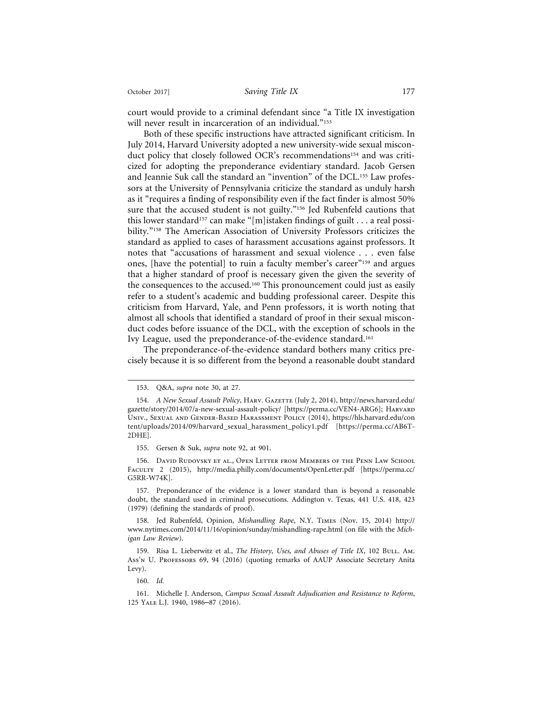court would provide to a criminal defendant since "a Title IX investigation will never result in incarceration of an individual."<sup>153</sup>

Both of these specific instructions have attracted significant criticism. In July 2014, Harvard University adopted a new university-wide sexual misconduct policy that closely followed OCR's recommendations<sup>154</sup> and was criticized for adopting the preponderance evidentiary standard. Jacob Gersen and Jeannie Suk call the standard an "invention" of the DCL.155 Law professors at the University of Pennsylvania criticize the standard as unduly harsh as it "requires a finding of responsibility even if the fact finder is almost 50% sure that the accused student is not guilty."<sup>156</sup> Jed Rubenfeld cautions that this lower standard<sup>157</sup> can make "[m]istaken findings of guilt . . . a real possibility."158 The American Association of University Professors criticizes the standard as applied to cases of harassment accusations against professors. It notes that "accusations of harassment and sexual violence . . . even false ones, [have the potential] to ruin a faculty member's career"159 and argues that a higher standard of proof is necessary given the given the severity of the consequences to the accused.<sup>160</sup> This pronouncement could just as easily refer to a student's academic and budding professional career. Despite this criticism from Harvard, Yale, and Penn professors, it is worth noting that almost all schools that identified a standard of proof in their sexual misconduct codes before issuance of the DCL, with the exception of schools in the Ivy League, used the preponderance-of-the-evidence standard.161

The preponderance-of-the-evidence standard bothers many critics precisely because it is so different from the beyond a reasonable doubt standard

<sup>153.</sup> Q&A, *supra* note 30, at 27.

<sup>154.</sup> *A New Sexual Assault Policy*, Harv. Gazette (July 2, 2014), http://news.harvard.edu/ gazette/story/2014/07/a-new-sexual-assault-policy/ [https://perma.cc/VEN4-ARG6]; Harvard Univ., Sexual and Gender-Based Harassment Policy (2014), https://hls.harvard.edu/con tent/uploads/2014/09/harvard\_sexual\_harassment\_policy1.pdf [https://perma.cc/AB6T-2DHE].

<sup>155.</sup> Gersen & Suk, *supra* note 92, at 901.

<sup>156.</sup> David Rudovsky et al., Open Letter from Members of the Penn Law School FACULTY 2 (2015), http://media.philly.com/documents/OpenLetter.pdf [https://perma.cc/ G5RR-W74K].

<sup>157.</sup> Preponderance of the evidence is a lower standard than is beyond a reasonable doubt, the standard used in criminal prosecutions. Addington v. Texas, 441 U.S. 418, 423 (1979) (defining the standards of proof).

<sup>158.</sup> Jed Rubenfeld, Opinion, *Mishandling Rape*, N.Y. Times (Nov. 15, 2014) http:// www.nytimes.com/2014/11/16/opinion/sunday/mishandling-rape.html (on file with the *Michigan Law Review*).

<sup>159.</sup> Risa L. Lieberwitz et al., *The History, Uses, and Abuses of Title IX*, 102 BULL. Am. Ass'n U. Professors 69, 94 (2016) (quoting remarks of AAUP Associate Secretary Anita Levy).

<sup>160.</sup> *Id.*

<sup>161.</sup> Michelle J. Anderson, *Campus Sexual Assault Adjudication and Resistance to Reform*, 125 Yale L.J. 1940, 1986–87 (2016).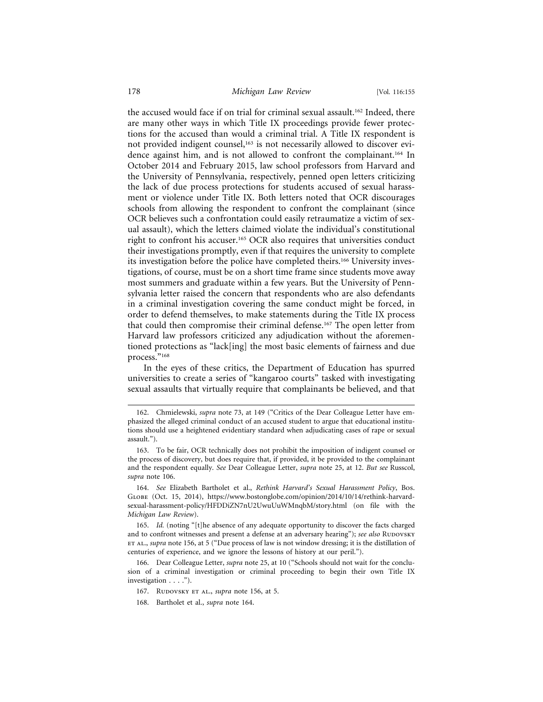the accused would face if on trial for criminal sexual assault.<sup>162</sup> Indeed, there are many other ways in which Title IX proceedings provide fewer protections for the accused than would a criminal trial. A Title IX respondent is not provided indigent counsel,<sup>163</sup> is not necessarily allowed to discover evidence against him, and is not allowed to confront the complainant.<sup>164</sup> In October 2014 and February 2015, law school professors from Harvard and the University of Pennsylvania, respectively, penned open letters criticizing the lack of due process protections for students accused of sexual harassment or violence under Title IX. Both letters noted that OCR discourages schools from allowing the respondent to confront the complainant (since OCR believes such a confrontation could easily retraumatize a victim of sexual assault), which the letters claimed violate the individual's constitutional right to confront his accuser.165 OCR also requires that universities conduct their investigations promptly, even if that requires the university to complete its investigation before the police have completed theirs.166 University investigations, of course, must be on a short time frame since students move away most summers and graduate within a few years. But the University of Pennsylvania letter raised the concern that respondents who are also defendants in a criminal investigation covering the same conduct might be forced, in order to defend themselves, to make statements during the Title IX process that could then compromise their criminal defense.167 The open letter from Harvard law professors criticized any adjudication without the aforementioned protections as "lack[ing] the most basic elements of fairness and due process."168

In the eyes of these critics, the Department of Education has spurred universities to create a series of "kangaroo courts" tasked with investigating sexual assaults that virtually require that complainants be believed, and that

165. *Id.* (noting "[t]he absence of any adequate opportunity to discover the facts charged and to confront witnesses and present a defense at an adversary hearing"); *see also* RUDOVSKY et al., *supra* note 156, at 5 ("Due process of law is not window dressing; it is the distillation of centuries of experience, and we ignore the lessons of history at our peril.").

166. Dear Colleague Letter, *supra* note 25, at 10 ("Schools should not wait for the conclusion of a criminal investigation or criminal proceeding to begin their own Title IX investigation . . . .").

<sup>162.</sup> Chmielewski, *supra* note 73, at 149 ("Critics of the Dear Colleague Letter have emphasized the alleged criminal conduct of an accused student to argue that educational institutions should use a heightened evidentiary standard when adjudicating cases of rape or sexual assault.").

<sup>163.</sup> To be fair, OCR technically does not prohibit the imposition of indigent counsel or the process of discovery, but does require that, if provided, it be provided to the complainant and the respondent equally. *See* Dear Colleague Letter, *supra* note 25, at 12. *But see* Russcol, *supra* note 106.

<sup>164.</sup> *See* Elizabeth Bartholet et al., *Rethink Harvard's Sexual Harassment Policy*, Bos. Globe (Oct. 15, 2014), https://www.bostonglobe.com/opinion/2014/10/14/rethink-harvardsexual-harassment-policy/HFDDiZN7nU2UwuUuWMnqbM/story.html (on file with the *Michigan Law Review*).

<sup>167.</sup> RUDOVSKY ET AL., *supra* note 156, at 5.

<sup>168.</sup> Bartholet et al., *supra* note 164.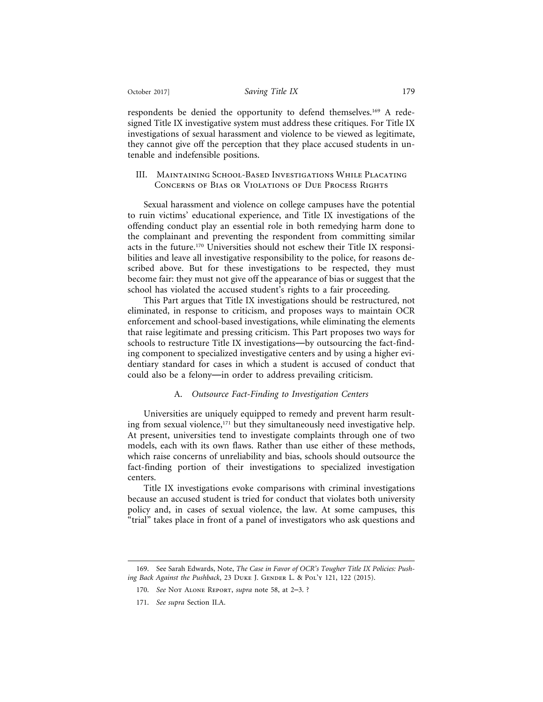respondents be denied the opportunity to defend themselves.169 A redesigned Title IX investigative system must address these critiques. For Title IX investigations of sexual harassment and violence to be viewed as legitimate, they cannot give off the perception that they place accused students in untenable and indefensible positions.

#### III. Maintaining School-Based Investigations While Placating Concerns of Bias or Violations of Due Process Rights

Sexual harassment and violence on college campuses have the potential to ruin victims' educational experience, and Title IX investigations of the offending conduct play an essential role in both remedying harm done to the complainant and preventing the respondent from committing similar acts in the future.170 Universities should not eschew their Title IX responsibilities and leave all investigative responsibility to the police, for reasons described above. But for these investigations to be respected, they must become fair: they must not give off the appearance of bias or suggest that the school has violated the accused student's rights to a fair proceeding.

This Part argues that Title IX investigations should be restructured, not eliminated, in response to criticism, and proposes ways to maintain OCR enforcement and school-based investigations, while eliminating the elements that raise legitimate and pressing criticism. This Part proposes two ways for schools to restructure Title IX investigations—by outsourcing the fact-finding component to specialized investigative centers and by using a higher evidentiary standard for cases in which a student is accused of conduct that could also be a felony—in order to address prevailing criticism.

#### A. *Outsource Fact-Finding to Investigation Centers*

Universities are uniquely equipped to remedy and prevent harm resulting from sexual violence,<sup>171</sup> but they simultaneously need investigative help. At present, universities tend to investigate complaints through one of two models, each with its own flaws. Rather than use either of these methods, which raise concerns of unreliability and bias, schools should outsource the fact-finding portion of their investigations to specialized investigation centers.

Title IX investigations evoke comparisons with criminal investigations because an accused student is tried for conduct that violates both university policy and, in cases of sexual violence, the law. At some campuses, this "trial" takes place in front of a panel of investigators who ask questions and

<sup>169.</sup> See Sarah Edwards, Note, *The Case in Favor of OCR's Tougher Title IX Policies: Pushing Back Against the Pushback*, 23 DUKE J. GENDER L. & POL'Y 121, 122 (2015).

<sup>170.</sup> *See* Not Alone Report, *supra* note 58, at 2–3. ?

<sup>171.</sup> *See supra* Section II.A.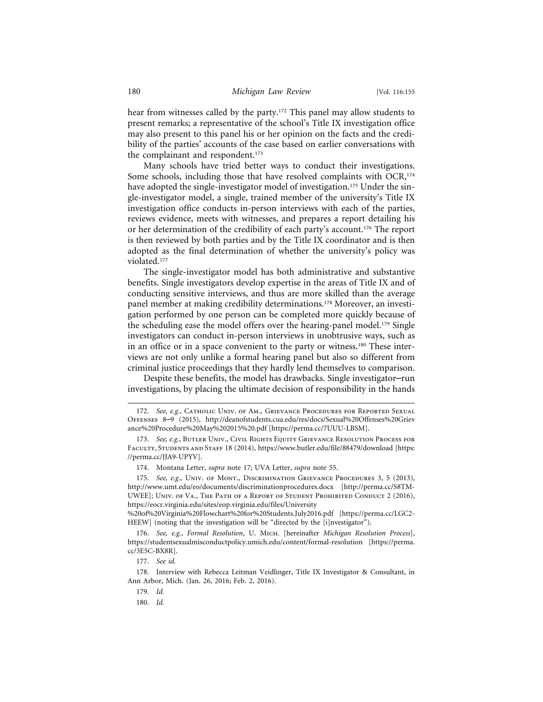hear from witnesses called by the party.<sup>172</sup> This panel may allow students to present remarks; a representative of the school's Title IX investigation office may also present to this panel his or her opinion on the facts and the credibility of the parties' accounts of the case based on earlier conversations with the complainant and respondent.<sup>173</sup>

Many schools have tried better ways to conduct their investigations. Some schools, including those that have resolved complaints with  $OCR$ ,<sup>174</sup> have adopted the single-investigator model of investigation.<sup>175</sup> Under the single-investigator model, a single, trained member of the university's Title IX investigation office conducts in-person interviews with each of the parties, reviews evidence, meets with witnesses, and prepares a report detailing his or her determination of the credibility of each party's account.176 The report is then reviewed by both parties and by the Title IX coordinator and is then adopted as the final determination of whether the university's policy was violated.177

The single-investigator model has both administrative and substantive benefits. Single investigators develop expertise in the areas of Title IX and of conducting sensitive interviews, and thus are more skilled than the average panel member at making credibility determinations.178 Moreover, an investigation performed by one person can be completed more quickly because of the scheduling ease the model offers over the hearing-panel model.<sup>179</sup> Single investigators can conduct in-person interviews in unobtrusive ways, such as in an office or in a space convenient to the party or witness.<sup>180</sup> These interviews are not only unlike a formal hearing panel but also so different from criminal justice proceedings that they hardly lend themselves to comparison.

Despite these benefits, the model has drawbacks. Single investigator–run investigations, by placing the ultimate decision of responsibility in the hands

%20of%20Virginia%20Flowchart%20for%20Students.July2016.pdf [https://perma.cc/LGC2- HEEW] (noting that the investigation will be "directed by the [i]nvestigator").

<sup>172.</sup> *See, e.g.*, Catholic Univ. of Am., Grievance Procedures for Reported Sexual Offenses 8–9 (2015), http://deanofstudents.cua.edu/res/docs/Sexual%20Offenses%20Griev ance%20Procedure%20May%202015%20.pdf [https://perma.cc/7UUU-LBSM].

<sup>173.</sup> *See, e.g.*, Butler Univ., Civil Rights Equity Grievance Resolution Process for Faculty, Students and Staff 18 (2014), https://www.butler.edu/file/88479/download [https: //perma.cc/JJA9-UPYV].

<sup>174.</sup> Montana Letter, *supra* note 17; UVA Letter, *supra* note 55.

<sup>175.</sup> *See, e.g.*, Univ. of Mont., Discrimination Grievance Procedures 3, 5 (2013), http://www.umt.edu/eo/documents/discriminationprocedures.docx [http://perma.cc/S8TM-UWEE]; Univ. of Va., The Path of a Report of Student Prohibited Conduct 2 (2016), https://eocr.virginia.edu/sites/eop.virginia.edu/files/University

<sup>176.</sup> *See, e.g.*, *Formal Resolution*, U. Mich. [hereinafter *Michigan Resolution Process*], https://studentsexualmisconductpolicy.umich.edu/content/formal-resolution [https://perma. cc/3E5C-BX8R].

<sup>177.</sup> *See id.*

<sup>178.</sup> Interview with Rebecca Leitman Veidlinger, Title IX Investigator & Consultant, in Ann Arbor, Mich. (Jan. 26, 2016; Feb. 2, 2016).

<sup>179.</sup> *Id.*

<sup>180.</sup> *Id.*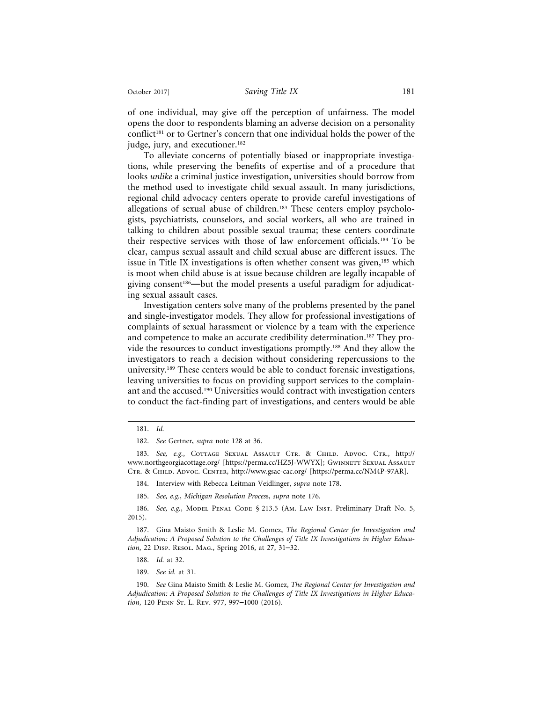of one individual, may give off the perception of unfairness. The model opens the door to respondents blaming an adverse decision on a personality conflict<sup>181</sup> or to Gertner's concern that one individual holds the power of the judge, jury, and executioner.<sup>182</sup>

To alleviate concerns of potentially biased or inappropriate investigations, while preserving the benefits of expertise and of a procedure that looks *unlike* a criminal justice investigation, universities should borrow from the method used to investigate child sexual assault. In many jurisdictions, regional child advocacy centers operate to provide careful investigations of allegations of sexual abuse of children.<sup>183</sup> These centers employ psychologists, psychiatrists, counselors, and social workers, all who are trained in talking to children about possible sexual trauma; these centers coordinate their respective services with those of law enforcement officials.184 To be clear, campus sexual assault and child sexual abuse are different issues. The issue in Title IX investigations is often whether consent was given,<sup>185</sup> which is moot when child abuse is at issue because children are legally incapable of giving consent<sup>186</sup>—but the model presents a useful paradigm for adjudicating sexual assault cases.

Investigation centers solve many of the problems presented by the panel and single-investigator models. They allow for professional investigations of complaints of sexual harassment or violence by a team with the experience and competence to make an accurate credibility determination.<sup>187</sup> They provide the resources to conduct investigations promptly.188 And they allow the investigators to reach a decision without considering repercussions to the university.189 These centers would be able to conduct forensic investigations, leaving universities to focus on providing support services to the complainant and the accused.190 Universities would contract with investigation centers to conduct the fact-finding part of investigations, and centers would be able

183. See, e.g., COTTAGE SEXUAL ASSAULT CTR. & CHILD. ADVOC. CTR., http:// www.northgeorgiacottage.org/ [https://perma.cc/HZ5J-WWYX]; GwINNETT SEXUAL AssAULT Ctr. & Child. Advoc. Center, http://www.gsac-cac.org/ [https://perma.cc/NM4P-97AR].

184. Interview with Rebecca Leitman Veidlinger, *supra* note 178.

185. *See, e.g.*, *Michigan Resolution Proces*s, *supra* note 176.

186. *See, e.g.*, MODEL PENAL CODE § 213.5 (AM. LAW INST. Preliminary Draft No. 5, 2015).

187. Gina Maisto Smith & Leslie M. Gomez, *The Regional Center for Investigation and Adjudication: A Proposed Solution to the Challenges of Title IX Investigations in Higher Education*, 22 DISP. RESOL. MAG., Spring 2016, at 27, 31–32.

- 188. *Id.* at 32.
- 189. *See id.* at 31.

190. *See* Gina Maisto Smith & Leslie M. Gomez, *The Regional Center for Investigation and Adjudication: A Proposed Solution to the Challenges of Title IX Investigations in Higher Education*, 120 Penn St. L. Rev. 977, 997–1000 (2016).

<sup>181.</sup> *Id.*

<sup>182.</sup> *See* Gertner, *supra* note 128 at 36.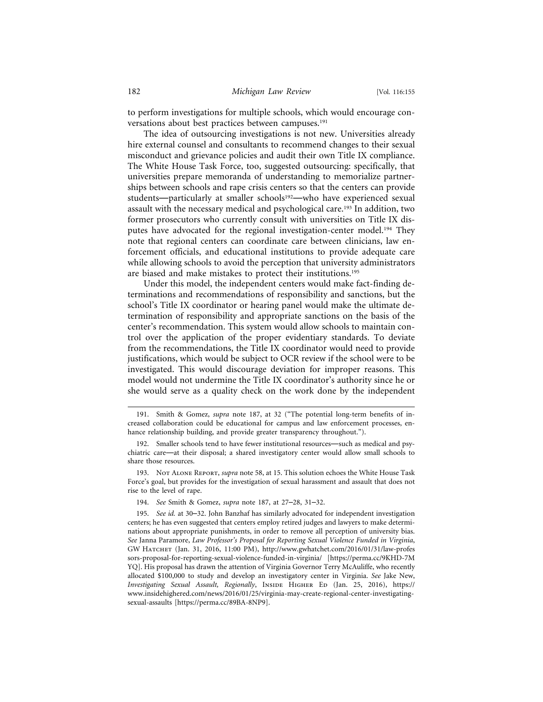to perform investigations for multiple schools, which would encourage conversations about best practices between campuses.<sup>191</sup>

The idea of outsourcing investigations is not new. Universities already hire external counsel and consultants to recommend changes to their sexual misconduct and grievance policies and audit their own Title IX compliance. The White House Task Force, too, suggested outsourcing: specifically, that universities prepare memoranda of understanding to memorialize partnerships between schools and rape crisis centers so that the centers can provide students—particularly at smaller schools<sup>192</sup>—who have experienced sexual assault with the necessary medical and psychological care.<sup>193</sup> In addition, two former prosecutors who currently consult with universities on Title IX disputes have advocated for the regional investigation-center model.<sup>194</sup> They note that regional centers can coordinate care between clinicians, law enforcement officials, and educational institutions to provide adequate care while allowing schools to avoid the perception that university administrators are biased and make mistakes to protect their institutions.195

Under this model, the independent centers would make fact-finding determinations and recommendations of responsibility and sanctions, but the school's Title IX coordinator or hearing panel would make the ultimate determination of responsibility and appropriate sanctions on the basis of the center's recommendation. This system would allow schools to maintain control over the application of the proper evidentiary standards. To deviate from the recommendations, the Title IX coordinator would need to provide justifications, which would be subject to OCR review if the school were to be investigated. This would discourage deviation for improper reasons. This model would not undermine the Title IX coordinator's authority since he or she would serve as a quality check on the work done by the independent

<sup>191.</sup> Smith & Gomez, *supra* note 187, at 32 ("The potential long-term benefits of increased collaboration could be educational for campus and law enforcement processes, enhance relationship building, and provide greater transparency throughout.").

<sup>192.</sup> Smaller schools tend to have fewer institutional resources—such as medical and psychiatric care—at their disposal; a shared investigatory center would allow small schools to share those resources.

<sup>193.</sup> Not Alone Report, *supra* note 58, at 15. This solution echoes the White House Task Force's goal, but provides for the investigation of sexual harassment and assault that does not rise to the level of rape.

<sup>194.</sup> *See* Smith & Gomez, *supra* note 187, at 27–28, 31–32.

<sup>195.</sup> *See id.* at 30–32. John Banzhaf has similarly advocated for independent investigation centers; he has even suggested that centers employ retired judges and lawyers to make determinations about appropriate punishments, in order to remove all perception of university bias. *See* Janna Paramore, *Law Professor's Proposal for Reporting Sexual Violence Funded in Virginia*, GW Hatchet (Jan. 31, 2016, 11:00 PM), http://www.gwhatchet.com/2016/01/31/law-profes sors-proposal-for-reporting-sexual-violence-funded-in-virginia/ [https://perma.cc/9KHD-7M YQ]. His proposal has drawn the attention of Virginia Governor Terry McAuliffe, who recently allocated \$100,000 to study and develop an investigatory center in Virginia. *See* Jake New, *Investigating Sexual Assault, Regionally, INSIDE HIGHER ED (Jan. 25, 2016), https://* www.insidehighered.com/news/2016/01/25/virginia-may-create-regional-center-investigatingsexual-assaults [https://perma.cc/89BA-8NP9].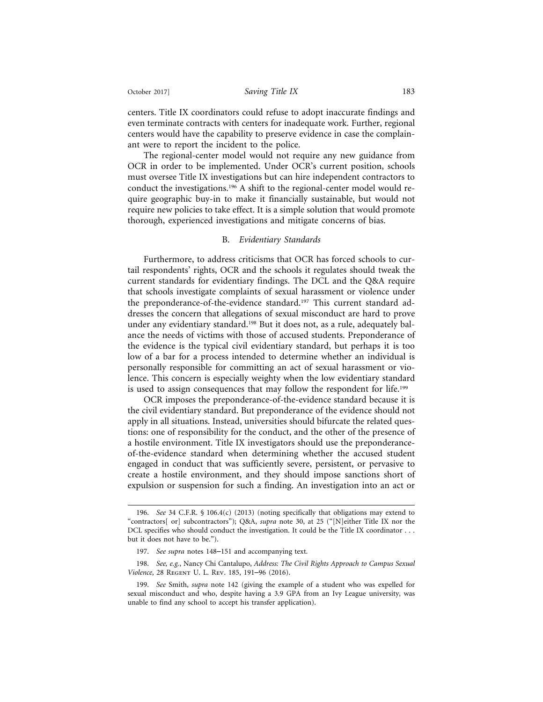centers. Title IX coordinators could refuse to adopt inaccurate findings and even terminate contracts with centers for inadequate work. Further, regional centers would have the capability to preserve evidence in case the complainant were to report the incident to the police.

The regional-center model would not require any new guidance from OCR in order to be implemented. Under OCR's current position, schools must oversee Title IX investigations but can hire independent contractors to conduct the investigations.196 A shift to the regional-center model would require geographic buy-in to make it financially sustainable, but would not require new policies to take effect. It is a simple solution that would promote thorough, experienced investigations and mitigate concerns of bias.

#### B. *Evidentiary Standards*

Furthermore, to address criticisms that OCR has forced schools to curtail respondents' rights, OCR and the schools it regulates should tweak the current standards for evidentiary findings. The DCL and the Q&A require that schools investigate complaints of sexual harassment or violence under the preponderance-of-the-evidence standard.<sup>197</sup> This current standard addresses the concern that allegations of sexual misconduct are hard to prove under any evidentiary standard.<sup>198</sup> But it does not, as a rule, adequately balance the needs of victims with those of accused students. Preponderance of the evidence is the typical civil evidentiary standard, but perhaps it is too low of a bar for a process intended to determine whether an individual is personally responsible for committing an act of sexual harassment or violence. This concern is especially weighty when the low evidentiary standard is used to assign consequences that may follow the respondent for life.<sup>199</sup>

OCR imposes the preponderance-of-the-evidence standard because it is the civil evidentiary standard. But preponderance of the evidence should not apply in all situations. Instead, universities should bifurcate the related questions: one of responsibility for the conduct, and the other of the presence of a hostile environment. Title IX investigators should use the preponderanceof-the-evidence standard when determining whether the accused student engaged in conduct that was sufficiently severe, persistent, or pervasive to create a hostile environment, and they should impose sanctions short of expulsion or suspension for such a finding. An investigation into an act or

<sup>196.</sup> *See* 34 C.F.R. § 106.4(c) (2013) (noting specifically that obligations may extend to "contractors[ or] subcontractors"); Q&A, *supra* note 30, at 25 ("[N]either Title IX nor the DCL specifies who should conduct the investigation. It could be the Title IX coordinator . . . but it does not have to be.").

<sup>197.</sup> *See supra* notes 148–151 and accompanying text.

<sup>198.</sup> *See, e.g.*, Nancy Chi Cantalupo, *Address: The Civil Rights Approach to Campus Sexual Violence*, 28 Regent U. L. Rev. 185, 191–96 (2016).

<sup>199.</sup> *See* Smith, *supra* note 142 (giving the example of a student who was expelled for sexual misconduct and who, despite having a 3.9 GPA from an Ivy League university, was unable to find any school to accept his transfer application).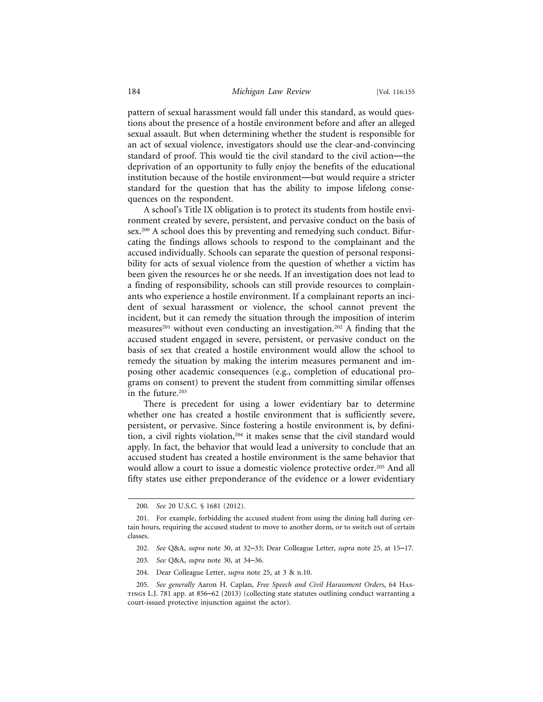pattern of sexual harassment would fall under this standard, as would questions about the presence of a hostile environment before and after an alleged sexual assault. But when determining whether the student is responsible for an act of sexual violence, investigators should use the clear-and-convincing standard of proof. This would tie the civil standard to the civil action—the deprivation of an opportunity to fully enjoy the benefits of the educational institution because of the hostile environment—but would require a stricter standard for the question that has the ability to impose lifelong consequences on the respondent.

A school's Title IX obligation is to protect its students from hostile environment created by severe, persistent, and pervasive conduct on the basis of sex.<sup>200</sup> A school does this by preventing and remedying such conduct. Bifurcating the findings allows schools to respond to the complainant and the accused individually. Schools can separate the question of personal responsibility for acts of sexual violence from the question of whether a victim has been given the resources he or she needs. If an investigation does not lead to a finding of responsibility, schools can still provide resources to complainants who experience a hostile environment. If a complainant reports an incident of sexual harassment or violence, the school cannot prevent the incident, but it can remedy the situation through the imposition of interim measures<sup>201</sup> without even conducting an investigation.<sup>202</sup> A finding that the accused student engaged in severe, persistent, or pervasive conduct on the basis of sex that created a hostile environment would allow the school to remedy the situation by making the interim measures permanent and imposing other academic consequences (e.g., completion of educational programs on consent) to prevent the student from committing similar offenses in the future.<sup>203</sup>

There is precedent for using a lower evidentiary bar to determine whether one has created a hostile environment that is sufficiently severe, persistent, or pervasive. Since fostering a hostile environment is, by definition, a civil rights violation,<sup>204</sup> it makes sense that the civil standard would apply. In fact, the behavior that would lead a university to conclude that an accused student has created a hostile environment is the same behavior that would allow a court to issue a domestic violence protective order.<sup>205</sup> And all fifty states use either preponderance of the evidence or a lower evidentiary

204. Dear Colleague Letter, *supra* note 25, at 3 & n.10.

<sup>200.</sup> *See* 20 U.S.C. § 1681 (2012).

<sup>201.</sup> For example, forbidding the accused student from using the dining hall during certain hours, requiring the accused student to move to another dorm, or to switch out of certain classes.

<sup>202.</sup> *See* Q&A, *supra* note 30, at 32–33; Dear Colleague Letter, *supra* note 25, at 15–17.

<sup>203.</sup> *See* Q&A, *supra* note 30, at 34–36.

<sup>205.</sup> *See generally* Aaron H. Caplan, *Free Speech and Civil Harassment Orders*, 64 Hastings L.J. 781 app. at 856–62 (2013) (collecting state statutes outlining conduct warranting a court-issued protective injunction against the actor).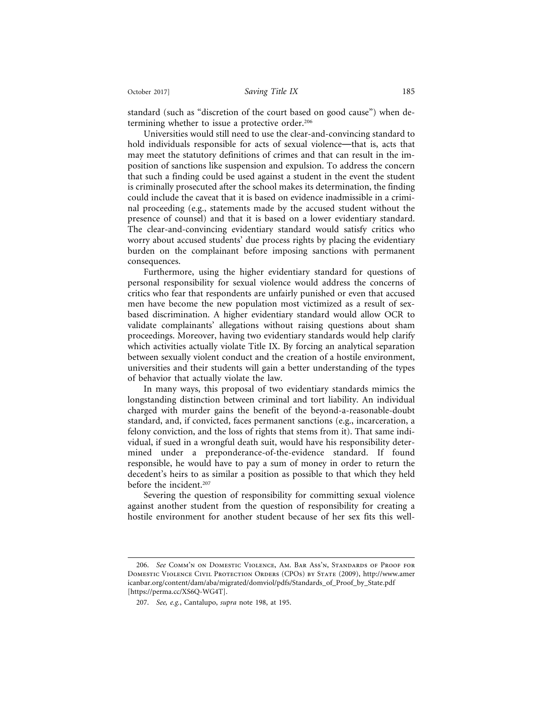standard (such as "discretion of the court based on good cause") when determining whether to issue a protective order.<sup>206</sup>

Universities would still need to use the clear-and-convincing standard to hold individuals responsible for acts of sexual violence—that is, acts that may meet the statutory definitions of crimes and that can result in the imposition of sanctions like suspension and expulsion. To address the concern that such a finding could be used against a student in the event the student is criminally prosecuted after the school makes its determination, the finding could include the caveat that it is based on evidence inadmissible in a criminal proceeding (e.g., statements made by the accused student without the presence of counsel) and that it is based on a lower evidentiary standard. The clear-and-convincing evidentiary standard would satisfy critics who worry about accused students' due process rights by placing the evidentiary burden on the complainant before imposing sanctions with permanent consequences.

Furthermore, using the higher evidentiary standard for questions of personal responsibility for sexual violence would address the concerns of critics who fear that respondents are unfairly punished or even that accused men have become the new population most victimized as a result of sexbased discrimination. A higher evidentiary standard would allow OCR to validate complainants' allegations without raising questions about sham proceedings. Moreover, having two evidentiary standards would help clarify which activities actually violate Title IX. By forcing an analytical separation between sexually violent conduct and the creation of a hostile environment, universities and their students will gain a better understanding of the types of behavior that actually violate the law.

In many ways, this proposal of two evidentiary standards mimics the longstanding distinction between criminal and tort liability. An individual charged with murder gains the benefit of the beyond-a-reasonable-doubt standard, and, if convicted, faces permanent sanctions (e.g., incarceration, a felony conviction, and the loss of rights that stems from it). That same individual, if sued in a wrongful death suit, would have his responsibility determined under a preponderance-of-the-evidence standard. If found responsible, he would have to pay a sum of money in order to return the decedent's heirs to as similar a position as possible to that which they held before the incident.<sup>207</sup>

Severing the question of responsibility for committing sexual violence against another student from the question of responsibility for creating a hostile environment for another student because of her sex fits this well-

<sup>206.</sup> *See* Comm'n on Domestic Violence, Am. Bar Ass'n, Standards of Proof for Domestic Violence Civil Protection Orders (CPOs) by State (2009), http://www.amer icanbar.org/content/dam/aba/migrated/domviol/pdfs/Standards\_of\_Proof\_by\_State.pdf [https://perma.cc/XS6Q-WG4T].

<sup>207.</sup> *See, e.g.*, Cantalupo, *supra* note 198, at 195.